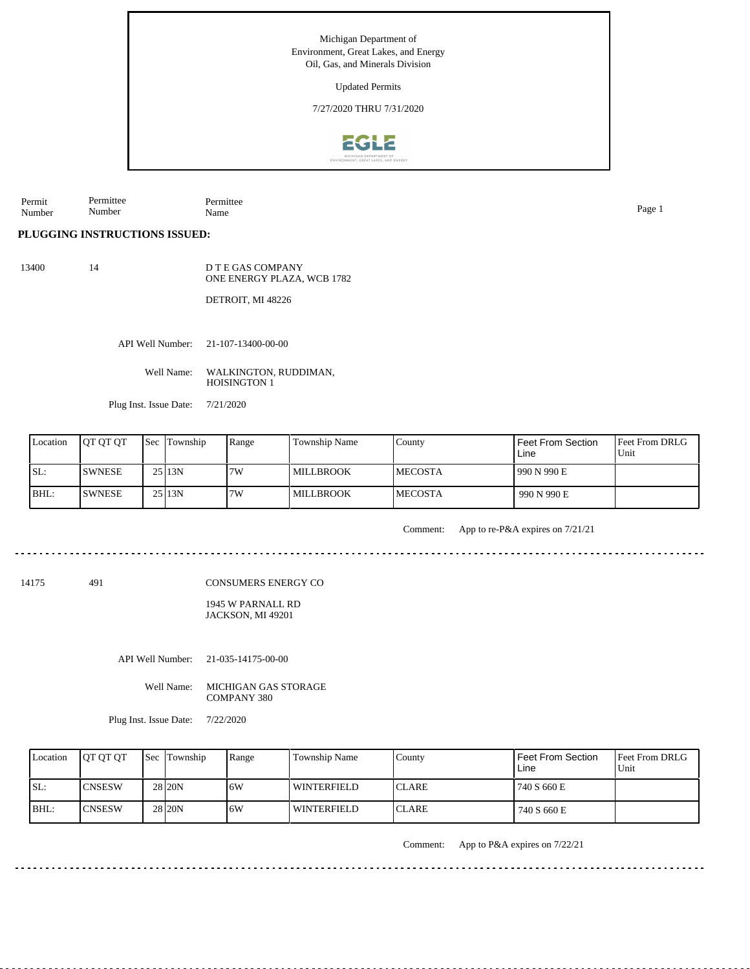Updated Permits

7/27/2020 THRU 7/31/2020



Permit Number Permittee Number Permittee Name Page 1

**PLUGGING INSTRUCTIONS ISSUED:**

13400 14

D T E GAS COMPANY ONE ENERGY PLAZA, WCB 1782

DETROIT, MI 48226

API Well Number: 21-107-13400-00-00

Well Name: WALKINGTON, RUDDIMAN, HOISINGTON 1

Plug Inst. Issue Date: 7/21/2020

| Location | <b>IOT OT OT</b> | <b>Sec</b> Township | Range | Township Name     | Countv          | Feet From Section<br>Line | <b>Feet From DRLG</b><br>Unit |
|----------|------------------|---------------------|-------|-------------------|-----------------|---------------------------|-------------------------------|
| ISL:     | ISWNESE          | 2513N               | 7W    | <b>LMILLBROOK</b> | <b>IMECOSTA</b> | 990 N 990 E               |                               |
| BHL:     | <b>SWNESE</b>    | 2513N               | 7W    | <b>IMILLBROOK</b> | <b>IMECOSTA</b> | 990 N 990 E               |                               |

Comment: App to re-P&A expires on 7/21/21

<u>. . . . . . . . . . . . .</u>

14175 491

CONSUMERS ENERGY CO

1945 W PARNALL RD JACKSON, MI 49201

API Well Number: 21-035-14175-00-00

Well Name: MICHIGAN GAS STORAGE COMPANY 380

Plug Inst. Issue Date: 7/22/2020

| Location | <b>OT OT OT</b> | Sec Township      | Range | Township Name      | County        | Feet From Section<br>Line | <b>Feet From DRLG</b><br>Unit |
|----------|-----------------|-------------------|-------|--------------------|---------------|---------------------------|-------------------------------|
| SL:      | <b>ICNSESW</b>  | 28 20N            | .6W   | <b>WINTERFIELD</b> | <b>ICLARE</b> | 740 S 660 E               |                               |
| IBHL:    | <b>ICNSESW</b>  | 28 <sub>20N</sub> | .6W   | <b>WINTERFIELD</b> | <b>ICLARE</b> | 740 S 660 E               |                               |

Comment: App to P&A expires on 7/22/21

. . . . . . . . . . . . . . . . . .

 $- - - -$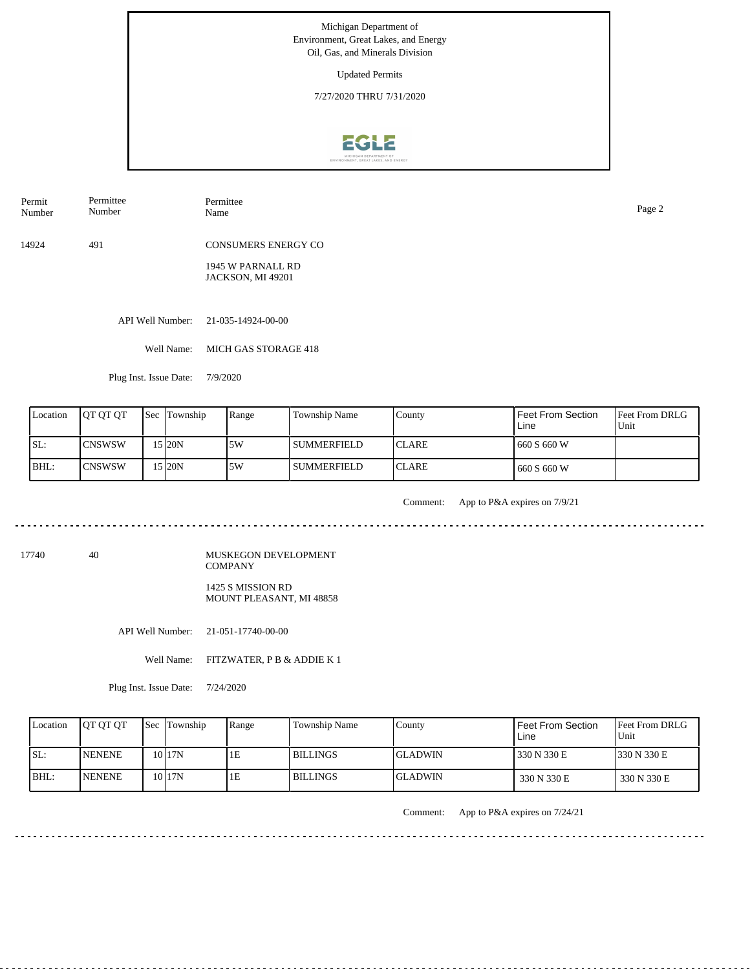Updated Permits

7/27/2020 THRU 7/31/2020



Permit Number Permittee Number

Permittee Name Page 2

14924 491 CONSUMERS ENERGY CO

> 1945 W PARNALL RD JACKSON, MI 49201

API Well Number: 21-035-14924-00-00

Well Name: MICH GAS STORAGE 418

Plug Inst. Issue Date: 7/9/2020

| Location | <b>IOT OT OT</b> | <b>Sec</b> Township | Range | Township Name      | County        | Feet From Section<br>Line | <b>Feet From DRLG</b><br>Unit |
|----------|------------------|---------------------|-------|--------------------|---------------|---------------------------|-------------------------------|
| ISL:     | <b>ICNSWSW</b>   | 5 20N               | 5W    | <b>SUMMERFIELD</b> | <b>ICLARE</b> | 660 S 660 W               |                               |
| BHL:     | <b>ICNSWSW</b>   | 15 I20N             | 5W    | <b>SUMMERFIELD</b> | <b>ICLARE</b> | 660 S 660 W               |                               |

<u>. . . . . . . . .</u>

Comment: App to P&A expires on 7/9/21

<u>. . . . . . . .</u>

17740 40

MUSKEGON DEVELOPMENT COMPANY 1425 S MISSION RD MOUNT PLEASANT, MI 48858

API Well Number: 21-051-17740-00-00

Well Name: FITZWATER, P B & ADDIE K 1

Plug Inst. Issue Date: 7/24/2020

| Location | <b>JOT OT OT</b> | <b>Sec Township</b> | Range | Township Name | County         | Feet From Section<br>Line | <b>Feet From DRLG</b><br>Unit |
|----------|------------------|---------------------|-------|---------------|----------------|---------------------------|-------------------------------|
| ISL:     | <b>INENENE</b>   | 10 <sub>17N</sub>   |       | I BILLINGS    | IGLADWIN       | 330 N 330 E               | 1330 N 330 E                  |
| BHL:     | <b>INENENE</b>   | 10 I 17 N           | TЕ    | I BILLINGS    | <b>GLADWIN</b> | 330 N 330 E               | 330 N 330 E                   |

Comment: App to P&A expires on 7/24/21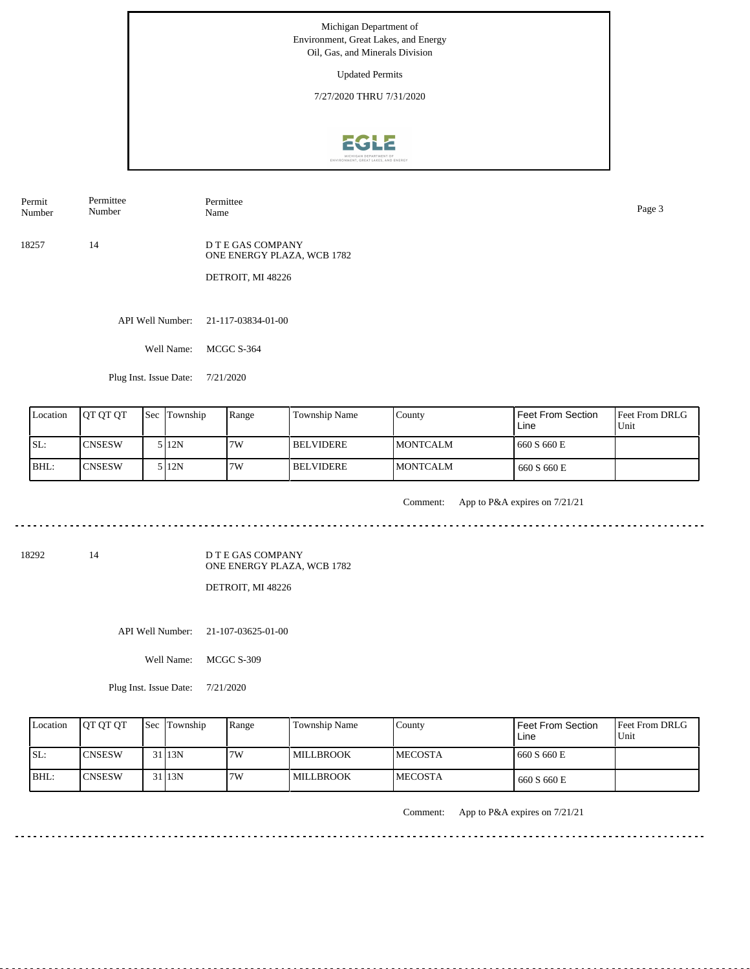Updated Permits

7/27/2020 THRU 7/31/2020



Permit Number Permittee Name Page 3

18257 14

Permittee Number

> D T E GAS COMPANY ONE ENERGY PLAZA, WCB 1782

DETROIT, MI 48226

API Well Number: 21-117-03834-01-00

Well Name: MCGC S-364

Plug Inst. Issue Date: 7/21/2020

| Location | <b>IOT OT OT</b> | <b>Sec Township</b> | Range | Township Name    | County           | <b>Feet From Section</b><br>Line | <b>Feet From DRLG</b><br>Unit |
|----------|------------------|---------------------|-------|------------------|------------------|----------------------------------|-------------------------------|
| ISL:     | ICNSESW          | 5 I 12 N            | 7W    | <b>BELVIDERE</b> | <b>IMONTCALM</b> | 660 S 660 E                      |                               |
| BHL:     | <b>ICNSESW</b>   | 5 I 12 N            | 7W    | <b>BELVIDERE</b> | <b>IMONTCALM</b> | 660 S 660 E                      |                               |

<u>. . . . . . . . .</u>

Comment: App to P&A expires on 7/21/21

. . . . . . . . . . . .

18292 14

D T E GAS COMPANY ONE ENERGY PLAZA, WCB 1782

DETROIT, MI 48226

API Well Number: 21-107-03625-01-00

Well Name: MCGC S-309

Plug Inst. Issue Date: 7/21/2020

| Location | <b>OT OT OT</b> | <b>Sec Township</b> | Range | Township Name    | County          | Feet From Section<br>Line | <b>Feet From DRLG</b><br>Unit |
|----------|-----------------|---------------------|-------|------------------|-----------------|---------------------------|-------------------------------|
| ISL:     | <b>ICNSESW</b>  | 31 13N              | 7W    | <b>MILLBROOK</b> | <b>IMECOSTA</b> | 1660 S 660 E              |                               |
| BHL:     | <b>ICNSESW</b>  | 31 13N              | 7W    | <b>MILLBROOK</b> | <b>IMECOSTA</b> | 660 S 660 E               |                               |

Comment: App to P&A expires on 7/21/21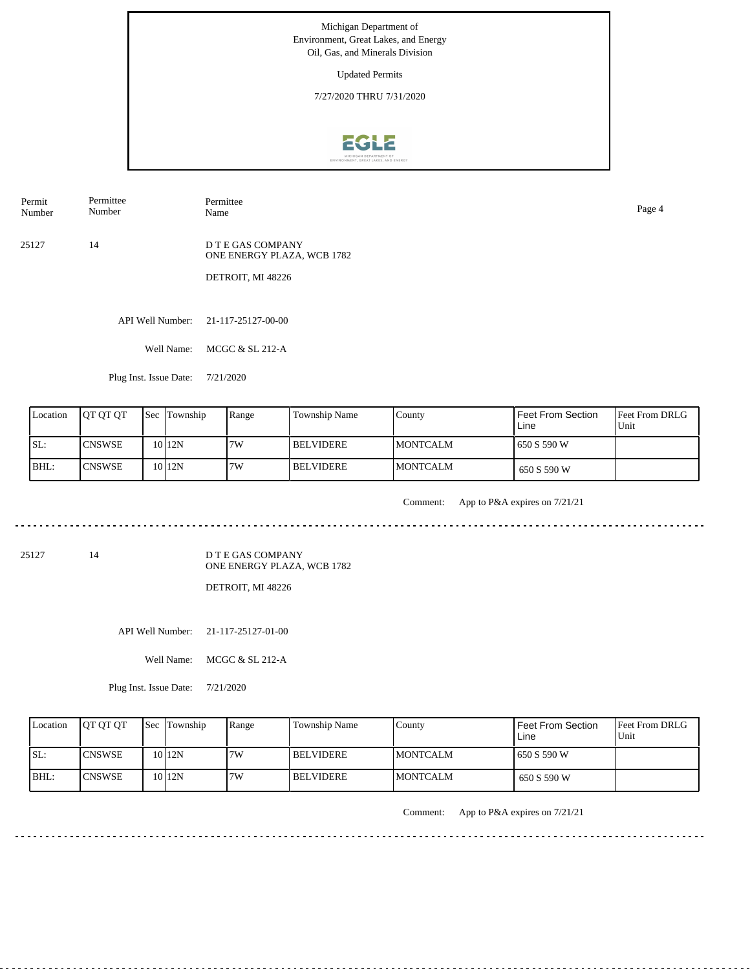Updated Permits

7/27/2020 THRU 7/31/2020



Permit Number Permittee Name Page 4

25127 14 D T E GAS COMPANY ONE ENERGY PLAZA, WCB 1782

Permittee Number

DETROIT, MI 48226

API Well Number: 21-117-25127-00-00

Well Name: MCGC & SL 212-A

Plug Inst. Issue Date: 7/21/2020

| Location | <b>IOT OT OT</b> | <b>Sec</b> Township | Range | Township Name    | County           | Feet From Section<br>Line | <b>Feet From DRLG</b><br>Unit |
|----------|------------------|---------------------|-------|------------------|------------------|---------------------------|-------------------------------|
| ISL:     | <b>ICNSWSE</b>   | 1012N               | 7W    | <b>BELVIDERE</b> | <b>IMONTCALM</b> | 650 S 590 W               |                               |
| BHL:     | <b>ICNSWSE</b>   | 10 <sub>12N</sub>   | 7W    | <b>BELVIDERE</b> | <b>IMONTCALM</b> | 650 S 590 W               |                               |

<u>. . . . . . . . . .</u>

Comment: App to P&A expires on 7/21/21

. . . . . . . . . . . . . . . . . . . .

25127 14

D T E GAS COMPANY ONE ENERGY PLAZA, WCB 1782

DETROIT, MI 48226

API Well Number: 21-117-25127-01-00

Well Name: MCGC & SL 212-A

Plug Inst. Issue Date: 7/21/2020

| Location | <b>OT OT OT</b> | <b>Sec</b> Township | Range | Township Name    | County           | Feet From Section<br>Line | <b>Feet From DRLG</b><br>Unit |
|----------|-----------------|---------------------|-------|------------------|------------------|---------------------------|-------------------------------|
| ISL:     | <b>ICNSWSE</b>  | 10 12N              | 7W    | I BELVIDERE.     | <b>IMONTCALM</b> | 1650 S 590 W              |                               |
| BHL:     | <b>ICNSWSE</b>  | $10$  12N           | 7W    | <b>BELVIDERE</b> | <b>MONTCALM</b>  | 650 S 590 W               |                               |

Comment: App to P&A expires on 7/21/21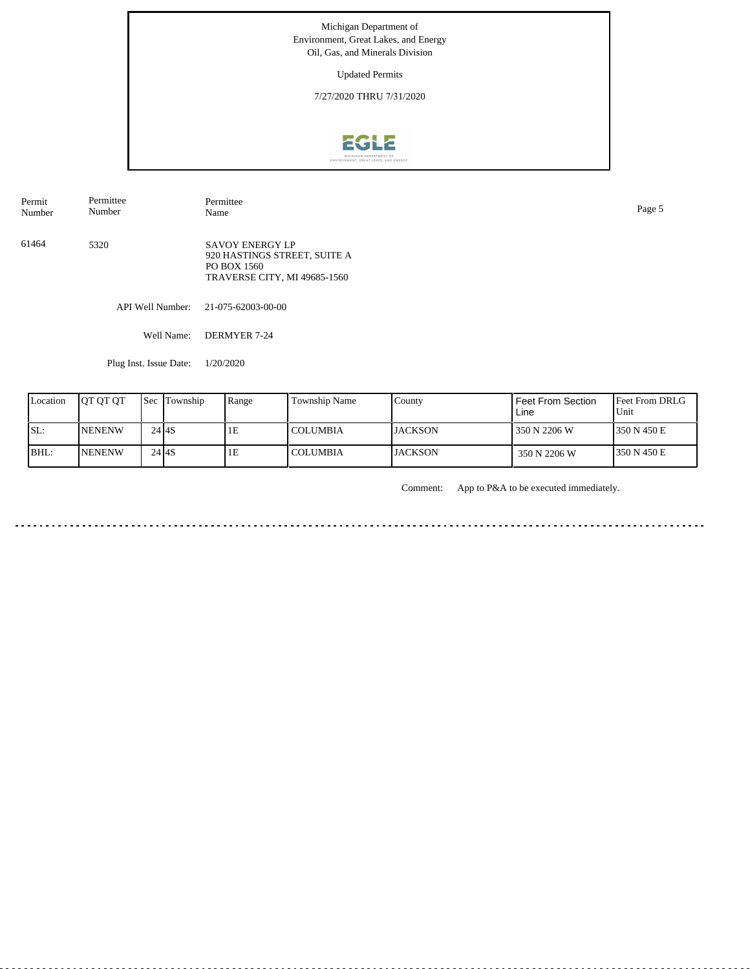Updated Permits

7/27/2020 THRU 7/31/2020



5320 SAVOY ENERGY LP 920 HASTINGS STREET, SUITE A PO BOX 1560 TRAVERSE CITY, MI 49685-1560 API Well Number: 21-075-62003-00-00 Well Name: DERMYER 7-24 Permit Number Permittee Number Permittee<br>Name Name Page 5 61464

Plug Inst. Issue Date: 1/20/2020

| Location | <b>IOT OT OT</b> | <b>Sec Township</b> | Range | Township Name   | County          | <b>Feet From Section</b><br>Line | <b>IFeet From DRLG</b><br>Unit |
|----------|------------------|---------------------|-------|-----------------|-----------------|----------------------------------|--------------------------------|
| ISL:     | <b>NENENW</b>    | 24 I <sub>4</sub> S | 1E    | <b>COLUMBIA</b> | <b>LIACKSON</b> | 1350 N 2206 W                    | 1350 N 450 E                   |
| BHL:     | <b>NENENW</b>    | $24$ $4S$           | 1E    | <b>COLUMBIA</b> | <b>JACKSON</b>  | 350 N 2206 W                     | 1350 N 450 E                   |

Comment: App to P&A to be executed immediately.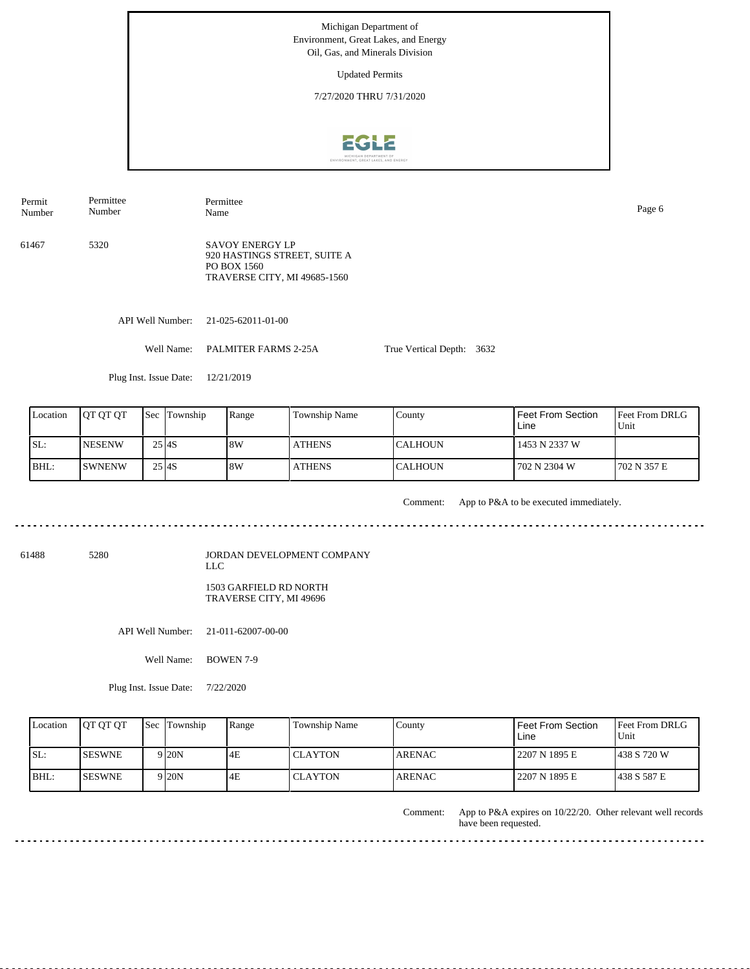Updated Permits

7/27/2020 THRU 7/31/2020



Permit Number Permittee Number

Permittee Name Page 6

61467 5320 SAVOY ENERGY LP 920 HASTINGS STREET, SUITE A PO BOX 1560 TRAVERSE CITY, MI 49685-1560

API Well Number: 21-025-62011-01-00

Well Name: PALMITER FARMS 2-25A

True Vertical Depth: 3632

Plug Inst. Issue Date: 12/21/2019

| Location | <b>IOT OT OT</b> |                     | <b>Sec Township</b> | Range | Township Name | County          | <b>Feet From Section</b><br>Line | <b>Feet From DRLG</b><br>Unit |
|----------|------------------|---------------------|---------------------|-------|---------------|-----------------|----------------------------------|-------------------------------|
| SL:      | <b>NESENW</b>    | 25 I <sub>4</sub> S |                     | 18W   | <b>ATHENS</b> | <b>ICALHOUN</b> | 1453 N 2337 W                    |                               |
| BHL:     | <b>ISWNENW</b>   | $25$ <sub>4S</sub>  |                     | 8W    | <b>ATHENS</b> | <b>CALHOUN</b>  | 702 N 2304 W                     | 1702 N 357 E                  |

Comment: App to P&A to be executed immediately.

. . . . . . . . . . . . . .

61488 5280

JORDAN DEVELOPMENT COMPANY LLC 1503 GARFIELD RD NORTH TRAVERSE CITY, MI 49696

API Well Number: 21-011-62007-00-00

Well Name: BOWEN 7-9

Plug Inst. Issue Date: 7/22/2020

| Location | <b>JOT OT OT</b> | <b>Sec Township</b> | Range | Township Name  | County        | <b>Feet From Section</b><br>∟ine | <b>Feet From DRLG</b><br>Unit |
|----------|------------------|---------------------|-------|----------------|---------------|----------------------------------|-------------------------------|
| ISL:     | <b>ISESWNE</b>   | 9 I20N              | 4E    | l CLAYTON      | ARENAC        | 2207 N 1895 E                    | 1438 S 720 W                  |
| $IBHL$ : | <b>ISESWNE</b>   | 9 I20N              | 4E    | <b>CLAYTON</b> | <b>ARENAC</b> | 2207 N 1895 E                    | 1438 S 587 E                  |

App to P&A expires on 10/22/20. Other relevant well records have been requested. Comment:

. . . . . . . . . . . . . . .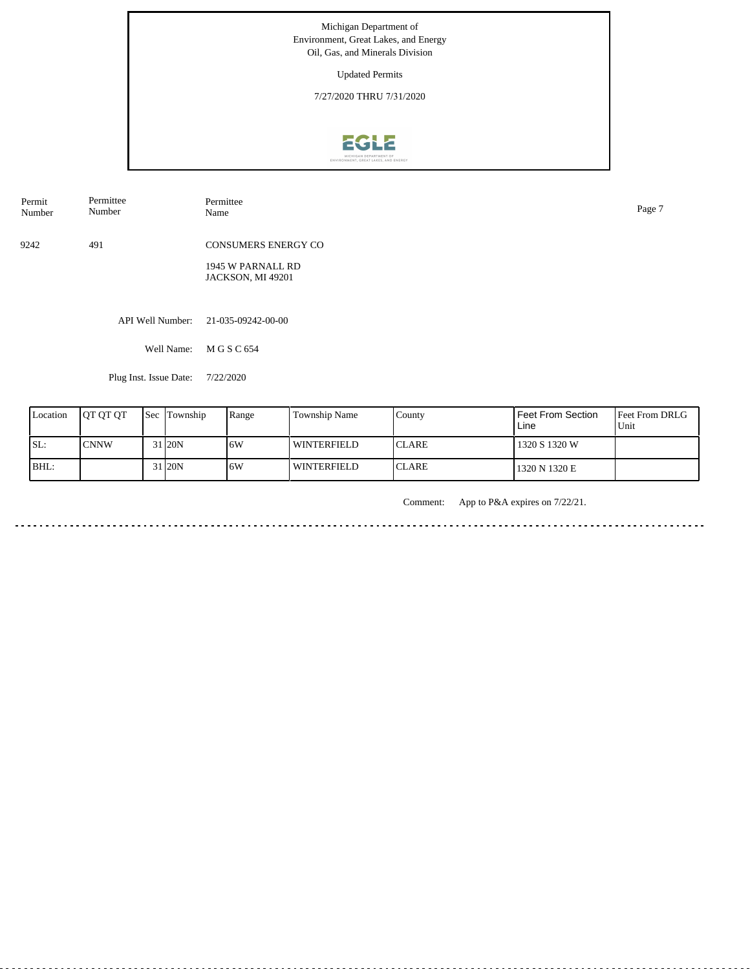Updated Permits

7/27/2020 THRU 7/31/2020



| Permit<br>Number | Permittee<br>Number | Permittee<br>Name                      | Page 7 |
|------------------|---------------------|----------------------------------------|--------|
| 9242             | 491                 | <b>CONSUMERS ENERGY CO</b>             |        |
|                  |                     | 1945 W PARNALL RD<br>JACKSON, MI 49201 |        |
|                  |                     | API Well Number: 21-035-09242-00-00    |        |

Well Name: M G S C 654

Plug Inst. Issue Date: 7/22/2020

| Location | <b>JOT OT OT</b> | l Sec | Township  | Range | Township Name      | County        | Feet From Section<br>Line | <b>Feet From DRLG</b><br>Unit |
|----------|------------------|-------|-----------|-------|--------------------|---------------|---------------------------|-------------------------------|
| SL:      | <b>CNNW</b>      |       | 31 20N    | 6W    | <b>WINTERFIELD</b> | <b>ICLARE</b> | 1320 S 1320 W             |                               |
| BHL:     |                  |       | 31 I 20 N | 16W   | <b>WINTERFIELD</b> | <b>ICLARE</b> | 1320 N 1320 E             |                               |

Comment: App to P&A expires on 7/22/21.

. . . . . . . <u>. . . . . . . .</u>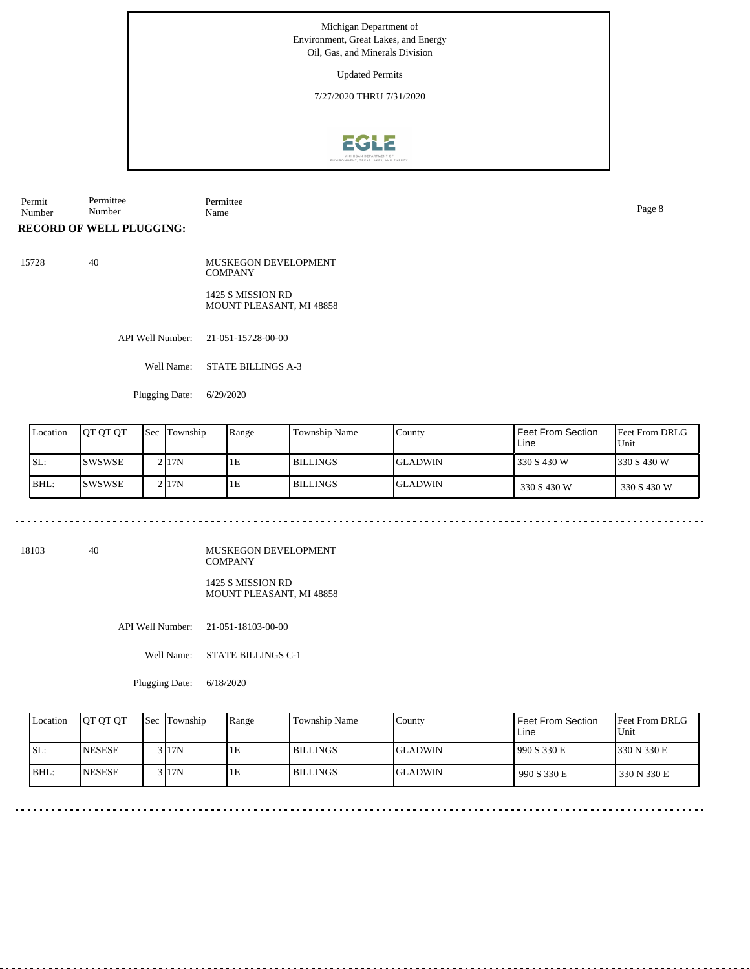Updated Permits

7/27/2020 THRU 7/31/2020



Permit Number Permittee Number Permittee Name Page 8

**RECORD OF WELL PLUGGING:**

15728 40 MUSKEGON DEVELOPMENT **COMPANY** 1425 S MISSION RD MOUNT PLEASANT, MI 48858

API Well Number: 21-051-15728-00-00

Well Name: STATE BILLINGS A-3

Plugging Date: 6/29/2020

| Location | <b>JOT OT OT</b> | Sec | Township | Range | <b>Township Name</b> | County          | Feet From Section<br>Line | <b>Feet From DRLG</b><br>Unit |
|----------|------------------|-----|----------|-------|----------------------|-----------------|---------------------------|-------------------------------|
| SL:      | <b>ISWSWSE</b>   |     | 2117N    | 1E    | l BILLINGS           | <b>IGLADWIN</b> | 330 S 430 W               | 1330 S 430 W                  |
| IBHL:    | ISWSWSE          |     | 2117N    | 1E    | <b>BILLINGS</b>      | <b>IGLADWIN</b> | 330 S 430 W               | 330 S 430 W                   |

18103 40

MUSKEGON DEVELOPMENT COMPANY

1425 S MISSION RD MOUNT PLEASANT, MI 48858

API Well Number: 21-051-18103-00-00

Well Name: STATE BILLINGS C-1

Plugging Date: 6/18/2020

| Location | <b>OT OT OT</b> | <b>Sec Township</b> | Range | <b>Township Name</b> | County          | <b>Feet From Section</b><br>Line | <b>Feet From DRLG</b><br>Unit |
|----------|-----------------|---------------------|-------|----------------------|-----------------|----------------------------------|-------------------------------|
| ISL:     | <b>INESESE</b>  | 3 I 17 N            | lЕ    | <b>BILLINGS</b>      | <b>IGLADWIN</b> | 990 S 330 E                      | 1330 N 330 E                  |
| BHL:     | <b>INESESE</b>  | 3 17N               | lΕ    | <b>BILLINGS</b>      | <b>IGLADWIN</b> | 990 S 330 E                      | 330 N 330 E                   |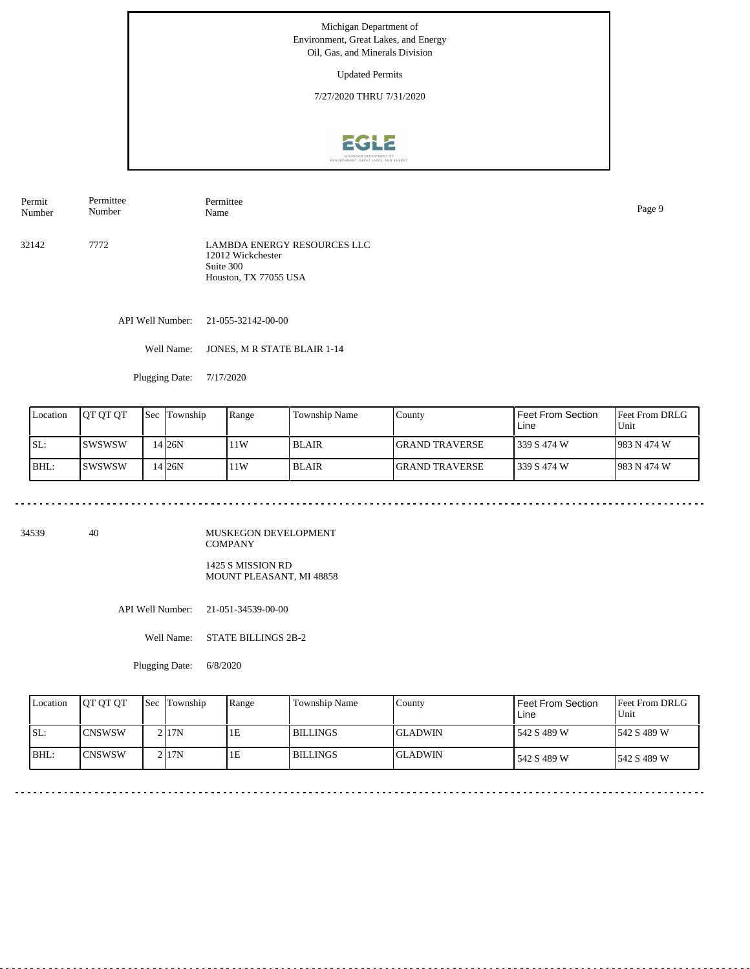Updated Permits

7/27/2020 THRU 7/31/2020



Permit Number Permittee Number Permittee

32142 7772 LAMBDA ENERGY RESOURCES LLC 12012 Wickchester Suite 300 Houston, TX 77055 USA

API Well Number: 21-055-32142-00-00

Well Name: JONES, M R STATE BLAIR 1-14

Plugging Date: 7/17/2020

| Location | OT OT OT | 'Sec | Township  | Range | Township Name | County                 | Feet From Section<br>Line | Feet From DRLG<br>Unit |
|----------|----------|------|-----------|-------|---------------|------------------------|---------------------------|------------------------|
| SL:      | ISWSWSW  |      | 14 I 26N  | 11W   | l BLAIR.      | <b>IGRAND TRAVERSE</b> | l 339 S 474 W             | 1983 N 474 W           |
| BHL:     | ISWSWSW  |      | 14 I 26 N | 11W   | <b>BLAIR</b>  | <b>IGRAND TRAVERSE</b> | l 339 S 474 W             | 1983 N 474 W           |

34539 40

MUSKEGON DEVELOPMENT COMPANY 1425 S MISSION RD

MOUNT PLEASANT, MI 48858

API Well Number: 21-051-34539-00-00

Well Name: STATE BILLINGS 2B-2

Plugging Date: 6/8/2020

| Location | <b>JOT OT OT</b> | <b>Sec Township</b> | Range | <b>Township Name</b> | County          | Feet From Section<br>Line | <b>Feet From DRLG</b><br>Unit |
|----------|------------------|---------------------|-------|----------------------|-----------------|---------------------------|-------------------------------|
| SL:      | ICNSWSW          | 2 17N               | 1E    | l BILLINGS           | <b>IGLADWIN</b> | 542 S 489 W               | 1542 S 489 W                  |
| BHL:     | ICNSWSW          | 2 I 17 N            | 1E    | l BILLINGS           | <b>IGLADWIN</b> | 542 S 489 W               | 1542 S 489 W                  |

Name Page 9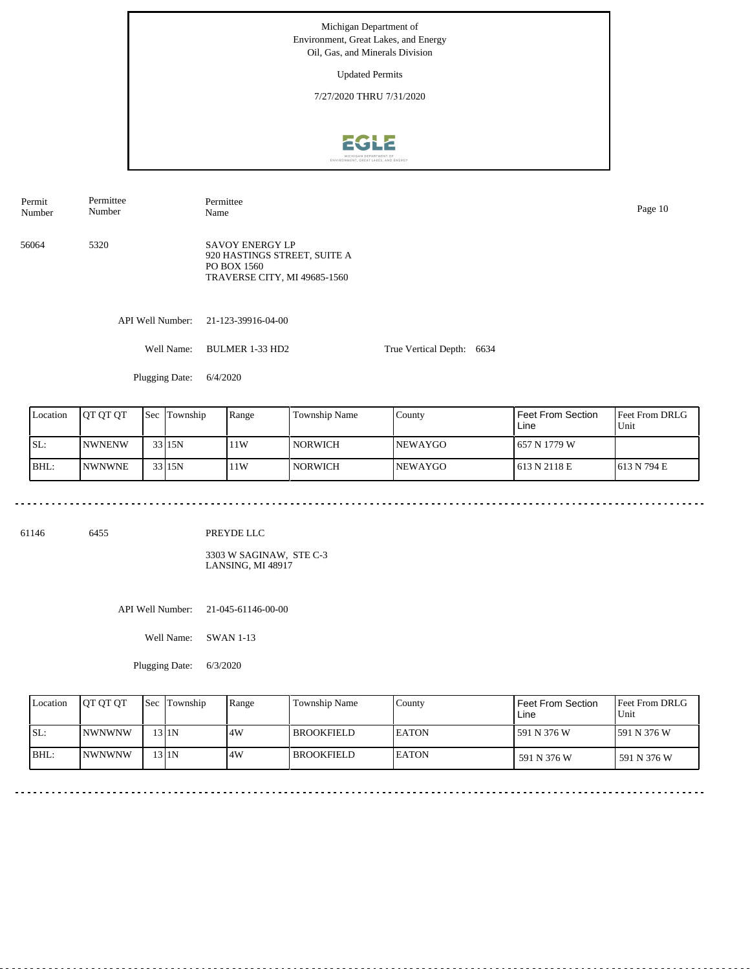Updated Permits

7/27/2020 THRU 7/31/2020



API Well Number: 21-123-39916-04-00 Well Name: BULMER 1-33 HD2 True Vertical Depth: 6634 56064 5320 SAVOY ENERGY LP 920 HASTINGS STREET, SUITE A PO BOX 1560 TRAVERSE CITY, MI 49685-1560 Permit Number Permittee Number Permittee Name Page 10

Plugging Date: 6/4/2020

| Location | IOT OT OT      | <b>Sec</b> | <b>Township</b> | Range | Township Name    | County          | Feet From Section<br>Line | <b>Feet From DRLG</b><br>Unit |
|----------|----------------|------------|-----------------|-------|------------------|-----------------|---------------------------|-------------------------------|
| SL:      | <b>INWNENW</b> |            | 33115N          | 11W   | NORWICH <b>N</b> | <b>INEWAYGO</b> | 657 N 1779 W              |                               |
| BHL:     | <b>INWNWNE</b> |            | 33 15N          | 11W   | NORWICH <b>N</b> | <b>NEWAYGO</b>  | 613 N 2118 E              | 1613 N 794 E                  |

61146 6455

PREYDE LLC

3303 W SAGINAW, STE C-3 LANSING, MI 48917

API Well Number: 21-045-61146-00-00

Well Name: SWAN 1-13

Plugging Date: 6/3/2020

| Location | <b>IOT OT OT</b> | <b>Sec Township</b> | Range | Township Name     | County        | Feet From Section<br>Line | <b>Feet From DRLG</b><br>Unit |
|----------|------------------|---------------------|-------|-------------------|---------------|---------------------------|-------------------------------|
| ISL:     | <b>INWNWNW</b>   | 13 I 1 N            | 4W    | <b>BROOKFIELD</b> | <b>IEATON</b> | 591 N 376 W               | 1591 N 376 W                  |
| BHL:     | <b>INWNWNW</b>   | $13$  1N            | 4W    | <b>BROOKFIELD</b> | <b>LEATON</b> | 591 N 376 W               | 591 N 376 W                   |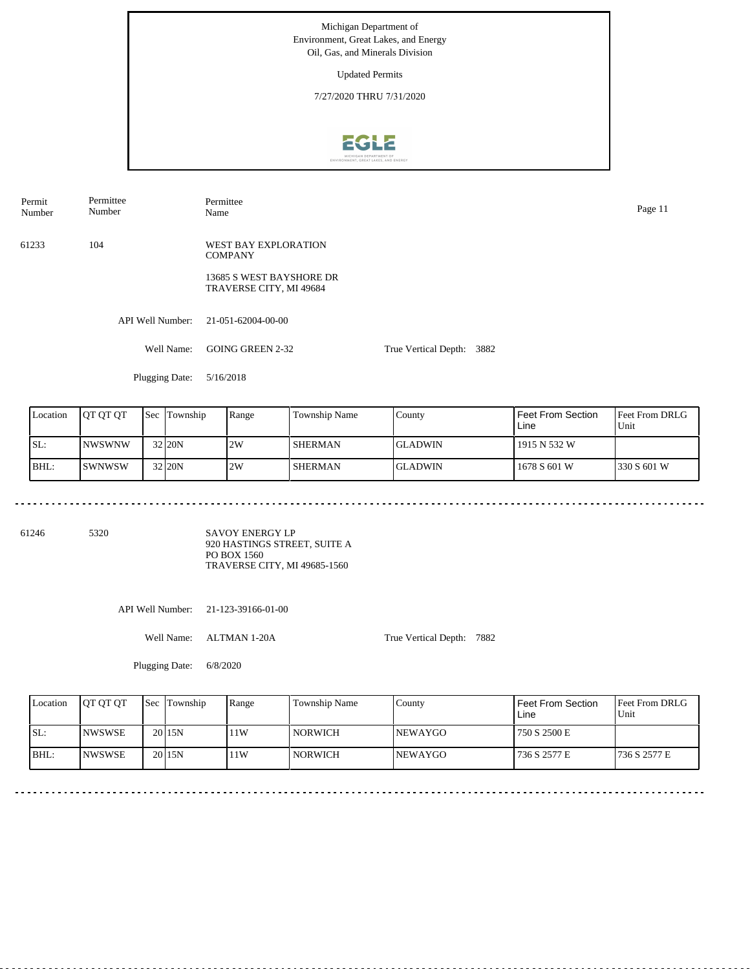Updated Permits

7/27/2020 THRU 7/31/2020



API Well Number: 21-051-62004-00-00 Well Name: GOING GREEN 2-32 True Vertical Depth: 3882 61233 104 WEST BAY EXPLORATION **COMPANY** 13685 S WEST BAYSHORE DR TRAVERSE CITY, MI 49684 Permit Number Permittee Number Permittee Name Page 11

Plugging Date: 5/16/2018

| Location | <b>JOT OT OT</b> | <b>Sec Township</b> | Range | Township Name  | County          | Feet From Section<br>Line | <b>IFeet From DRLG</b><br>Unit |
|----------|------------------|---------------------|-------|----------------|-----------------|---------------------------|--------------------------------|
| SL:      | <b>INWSWNW</b>   | 32 20N              | 2W    | <b>SHERMAN</b> | <b>IGLADWIN</b> | 1915 N 532 W              |                                |
| BHL:     | ISWNWSW          | 32 20N              | 2W    | <b>SHERMAN</b> | <b>GLADWIN</b>  | 1678 S 601 W              | 1330 S 601 W                   |

61246 5320

SAVOY ENERGY LP 920 HASTINGS STREET, SUITE A PO BOX 1560 TRAVERSE CITY, MI 49685-1560

API Well Number: 21-123-39166-01-00

Well Name: ALTMAN 1-20A

True Vertical Depth: 7882

Plugging Date: 6/8/2020

| Location | <b>JOT OT OT</b> | <b>Sec</b> Township | Range | Township Name | County          | Feet From Section<br>Line | <b>Feet From DRLG</b><br>Unit |
|----------|------------------|---------------------|-------|---------------|-----------------|---------------------------|-------------------------------|
| SL:      | <b>INWSWSE</b>   | 20115N              | 1W    | l NORWICH     | <b>INEWAYGO</b> | 750 S 2500 E              |                               |
| BHL:     | <b>INWSWSE</b>   | 20115N              | 1W    | l NORWICH     | <b>INEWAYGO</b> | 736 S 2577 E              | 1736 S 2577 E                 |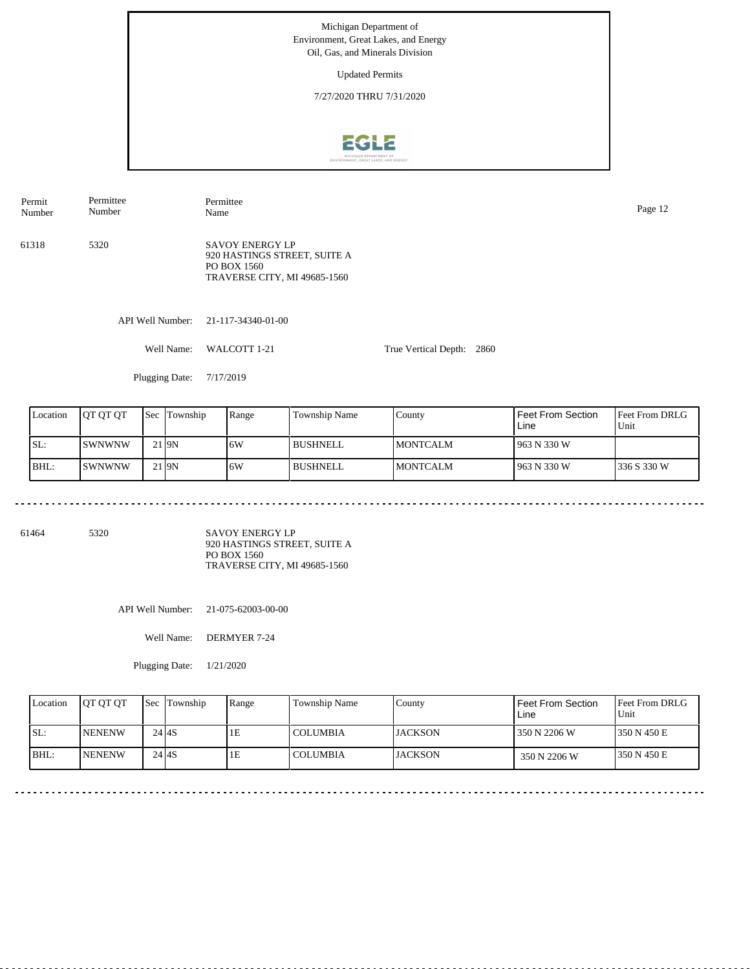Updated Permits

7/27/2020 THRU 7/31/2020



Permit Number Permittee Number

Permittee Name Page 12

61318 5320 SAVOY ENERGY LP 920 HASTINGS STREET, SUITE A PO BOX 1560 TRAVERSE CITY, MI 49685-1560

API Well Number: 21-117-34340-01-00

Well Name: WALCOTT 1-21 True Vertical Depth: 2860

Plugging Date: 7/17/2019

| Location | I OT OT OT    | <b>Sec</b> 1 | Township | Range | Township Name | County           | <b>Feet From Section</b><br>Line | <b>Feet From DRLG</b><br>Unit |
|----------|---------------|--------------|----------|-------|---------------|------------------|----------------------------------|-------------------------------|
| SL:      | <b>SWNWNW</b> |              | l I9N    | 6W    | l BUSHNELL    | <b>IMONTCALM</b> | 963 N 330 W                      |                               |
| BHL:     | <b>SWNWNW</b> |              | l I9N    | 16W   | l BUSHNELL    | <b>IMONTCALM</b> | 963 N 330 W                      | 1336 S 330 W                  |

61464 5320

SAVOY ENERGY LP 920 HASTINGS STREET, SUITE A PO BOX 1560 TRAVERSE CITY, MI 49685-1560

API Well Number: 21-075-62003-00-00

Well Name: DERMYER 7-24

Plugging Date: 1/21/2020

| Location | <b>IOT OT OT</b> | <b>Sec</b> Township | Range | Township Name   | Countv          | Feet From Section<br>Line | <b>Feet From DRLG</b><br>Unit |
|----------|------------------|---------------------|-------|-----------------|-----------------|---------------------------|-------------------------------|
| ISL:     | <b>INENENW</b>   | $24$ $4S$           | ıΕ    | COLUMBIA        | <b>IJACKSON</b> | 350 N 2206 W              | 1350 N 450 E                  |
| BHL:     | <b>INENENW</b>   | $24$ $4S$           | ΙE.   | <b>COLUMBIA</b> | <b>IJACKSON</b> | 350 N 2206 W              | 1350 N 450 E                  |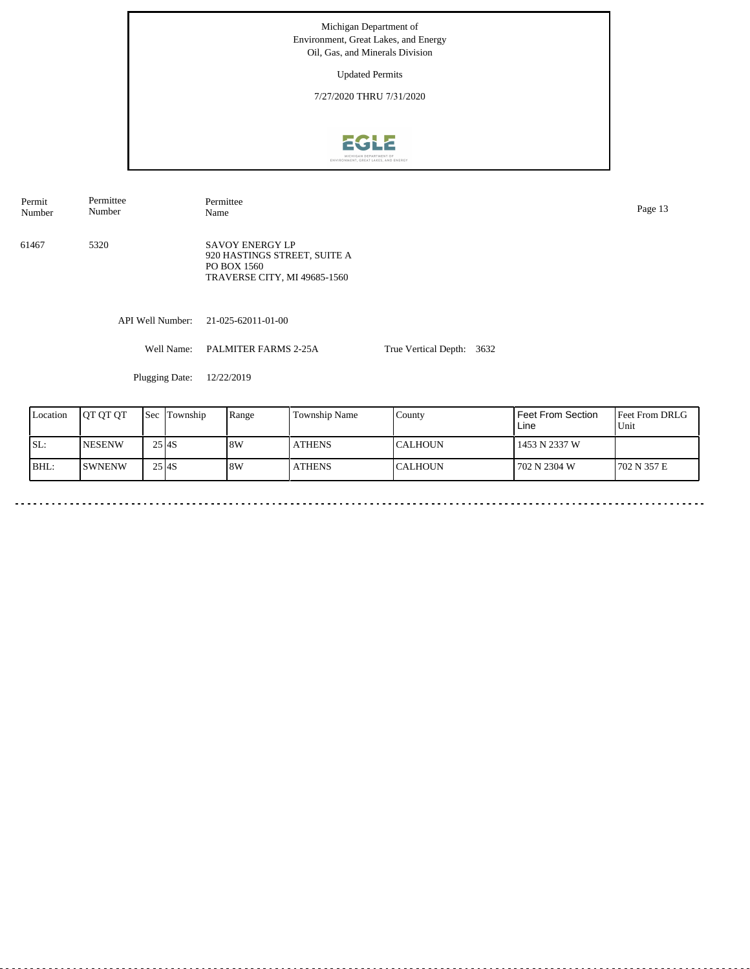Updated Permits

7/27/2020 THRU 7/31/2020



API Well Number: 21-025-62011-01-00 Well Name: PALMITER FARMS 2-25A True Vertical Depth: 3632 61467 5320 SAVOY ENERGY LP 920 HASTINGS STREET, SUITE A PO BOX 1560 TRAVERSE CITY, MI 49685-1560 Permit Number Permittee Number Permittee Page 13<br>Name Page 13

Plugging Date: 12/22/2019

| Location | <b>JOT OT OT</b> | Sec     | Township | Range | <b>Township Name</b> | County         | Feet From Section<br>Line | <b>Feet From DRLG</b><br>Unit |
|----------|------------------|---------|----------|-------|----------------------|----------------|---------------------------|-------------------------------|
| ISL:     | <b>INESENW</b>   | $25$ AS |          | 8W    | <b>ATHENS</b>        | ICALHOUN       | 1453 N 2337 W             |                               |
| IBHL:    | ISWNENW          | $25$ AS |          | 8W    | <b>ATHENS</b>        | <b>CALHOUN</b> | 702 N 2304 W              | 1702 N 357 E                  |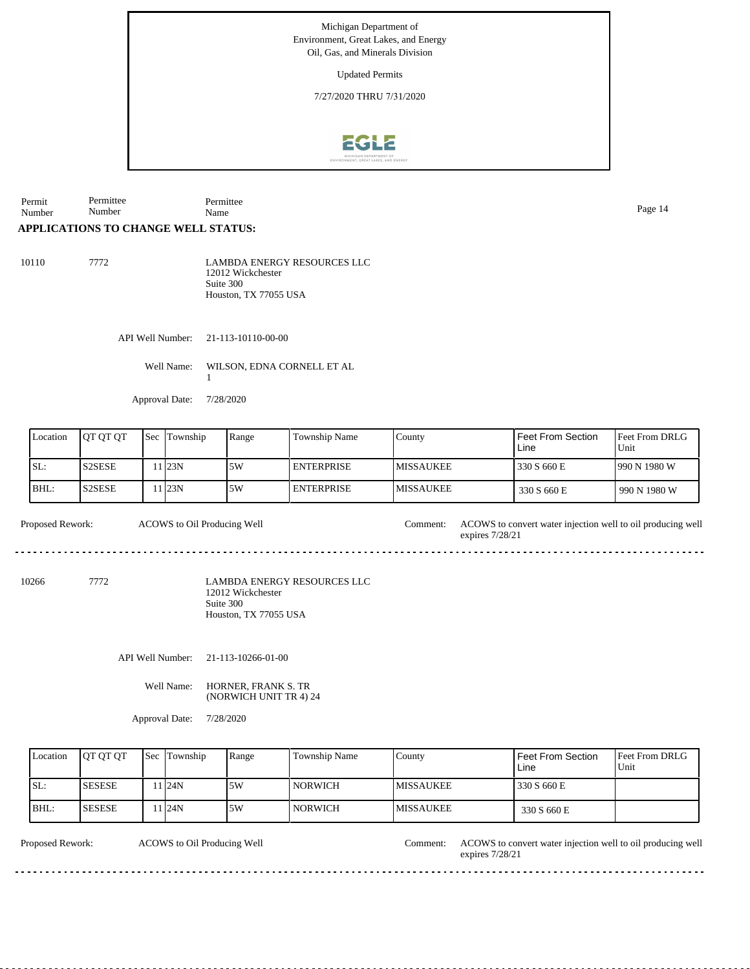Updated Permits

7/27/2020 THRU 7/31/2020



Permit Number Permittee Number Permittee Name Page 14

## **APPLICATIONS TO CHANGE WELL STATUS:**

| 10110 | 7772 | <b>LAMBDA ENERGY RESOURCES LLC</b><br>12012 Wickchester |
|-------|------|---------------------------------------------------------|
|       |      | Suite 300                                               |
|       |      | Houston, TX 77055 USA                                   |

API Well Number: 21-113-10110-00-00

Well Name: WILSON, EDNA CORNELL ET AL 1

Approval Date: 7/28/2020

| Location | <b>JOT OT OT</b> | <b>Sec Township</b> | Range | <b>Township Name</b> | Countv            | <b>Feet From Section</b><br>Line | <b>IFeet From DRLG</b><br>Unit |
|----------|------------------|---------------------|-------|----------------------|-------------------|----------------------------------|--------------------------------|
| ISL:     | 'S2SESE          | 11 <sub>23N</sub>   | 5W    | <b>ENTERPRISE</b>    | <b>IMISSAUKEE</b> | 330 S 660 E                      | 990 N 1980 W                   |
| BHL:     | 'S2SESE          | 1 23N               | 5W    | <b>ENTERPRISE</b>    | <b>IMISSAUKEE</b> | 330 S 660 E                      | 990 N 1980 W                   |

Proposed Rework: ACOWS to Oil Producing Well Comment: ACOWS to convert water injection well to oil producing well

10266 7772

LAMBDA ENERGY RESOURCES LLC 12012 Wickchester Suite 300 Houston, TX 77055 USA

API Well Number: 21-113-10266-01-00

ACOWS to Oil Producing Well

Well Name: HORNER, FRANK S. TR (NORWICH UNIT TR 4) 24

Approval Date: 7/28/2020

| Location | <b>IOT OT OT</b> | <b>Sec Township</b> | Range | <b>Township Name</b> | Countv            | Feet From Section<br>Line | <b>Feet From DRLG</b><br>Unit |
|----------|------------------|---------------------|-------|----------------------|-------------------|---------------------------|-------------------------------|
| ISL:     | <b>SESESE</b>    | 1 24N               | .5W   | l NORWICH            | <b>IMISSAUKEE</b> | 330 S 660 E               |                               |
| IBHL:    | <b>SESESE</b>    | 1 24N               | 5W    | l NORWICH            | <b>IMISSAUKEE</b> | 330 S 660 E               |                               |

ACOWS to Oil Producing Well

Proposed Rework: ACOWS to Oil Producing Well Comment: ACOWS to convert water injection well to oil producing well expires 7/28/21

expires 7/28/21

<u>. . . . . . . .</u>

<u>. . . . . . . . . .</u>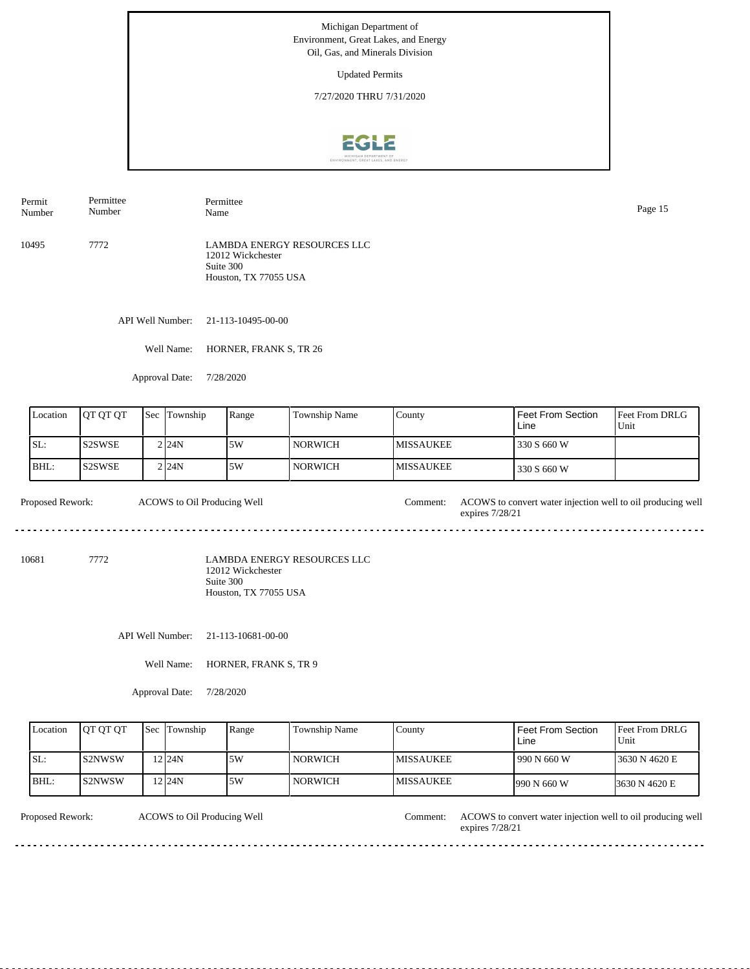Updated Permits

7/27/2020 THRU 7/31/2020



Permit Number Permittee Number Permittee Name Page 15

10495 7772 LAMBDA ENERGY RESOURCES LLC 12012 Wickchester Suite 300 Houston, TX 77055 USA

API Well Number: 21-113-10495-00-00

Well Name: HORNER, FRANK S, TR 26

Approval Date: 7/28/2020

| Location | <b>OT OT OT</b> | <b>Sec</b> | Township | Range | Township Name | County            | Feet From Section<br>Line | <b>I</b> Feet From DRLG<br>Unit |
|----------|-----------------|------------|----------|-------|---------------|-------------------|---------------------------|---------------------------------|
| ISL:     | IS2SWSE         |            | 2 24N    | 5W    | l NORWICH     | <b>IMISSAUKEE</b> | 330 S 660 W               |                                 |
| IBHL:    | IS2SWSE         |            | 2 24N    | 5W    | l NORWICH     | <b>IMISSAUKEE</b> | 330 S 660 W               |                                 |

Proposed Rework: ACOWS to convert water injection well to oil producing well ACOWS to Oil Producing Well expires 7/28/21 

10681 7772

LAMBDA ENERGY RESOURCES LLC 12012 Wickchester Suite 300 Houston, TX 77055 USA

API Well Number: 21-113-10681-00-00

Well Name: HORNER, FRANK S, TR 9

Approval Date: 7/28/2020

| Location | <b>IOT OT OT</b> | <b>Sec</b> Township | Range | <b>Township Name</b> | County            | Feet From Section<br>Line | <b>Feet From DRLG</b><br>Unit |
|----------|------------------|---------------------|-------|----------------------|-------------------|---------------------------|-------------------------------|
| SL:      | IS2NWSW          | 12 <sub>124N</sub>  | .5W   | <b>NORWICH</b>       | <b>IMISSAUKEE</b> | 1990 N 660 W              | 13630 N 4620 E                |
| BHL:     | IS2NWSW          | $2$ 24N             | 5W    | <b>NORWICH</b>       | <b>IMISSAUKEE</b> | $1990 N$ 660 W            | 3630 N 4620 E                 |

ACOWS to Oil Producing Well

Proposed Rework: ACOWS to Oil Producing Well Comment: ACOWS to convert water injection well to oil producing well expires 7/28/21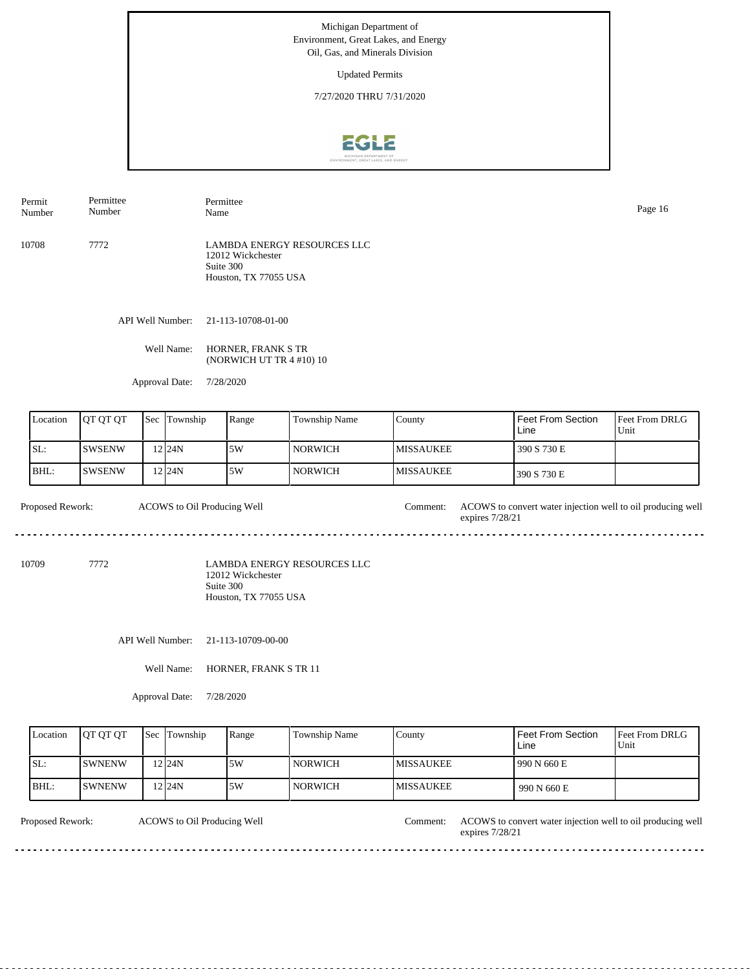Updated Permits

7/27/2020 THRU 7/31/2020



Permit Number Permittee Number

10708 7772 LAMBDA ENERGY RESOURCES LLC 12012 Wickchester Suite 300 Houston, TX 77055 USA

API Well Number: 21-113-10708-01-00

Well Name: HORNER, FRANK S TR (NORWICH UT TR 4 #10) 10

Permittee

Approval Date: 7/28/2020

| Location | <b>IOT OT OT</b> | <b>Sec Township</b> | Range | <b>Township Name</b> | County            | Feet From Section<br>Line | <b>Feet From DRLG</b><br>Unit |
|----------|------------------|---------------------|-------|----------------------|-------------------|---------------------------|-------------------------------|
| ISL:     | ISWSENW          | 12124N              | 5W    | l NORWICH-           | <b>IMISSAUKEE</b> | 390 S 730 E               |                               |
| IBHL:    | ISWSENW          | 12 24 N             | .5W   | NORWICH <b>N</b>     | <b>MISSAUKEE</b>  | 390 S 730 E               |                               |

Proposed Rework: ACOWS to convert water injection well to oil producing well expires 7/28/21 ACOWS to Oil Producing Well

10709 7772

LAMBDA ENERGY RESOURCES LLC 12012 Wickchester Suite 300 Houston, TX 77055 USA

API Well Number: 21-113-10709-00-00

Well Name: HORNER, FRANK S TR 11

Approval Date: 7/28/2020

| Location | <b>OT OT OT</b> | Sec | Township | Range | <b>Township Name</b> | Countv            | <b>Feet From Section</b><br>Line | <b>Feet From DRLG</b><br>Unit |
|----------|-----------------|-----|----------|-------|----------------------|-------------------|----------------------------------|-------------------------------|
| SL:      | <b>SWNENW</b>   |     | 224N     | .5W   | <b>NORWICH</b>       | <b>IMISSAUKEE</b> | 990 N 660 E                      |                               |
| BHL:     | ISWNENW         |     | 2124N    | .5W   | <b>NORWICH</b>       | <b>IMISSAUKEE</b> | 990 N 660 E                      |                               |

ACOWS to Oil Producing Well

Proposed Rework: ACOWS to Oil Producing Well Comment: ACOWS to convert water injection well to oil producing well expires 7/28/21

Name Page 16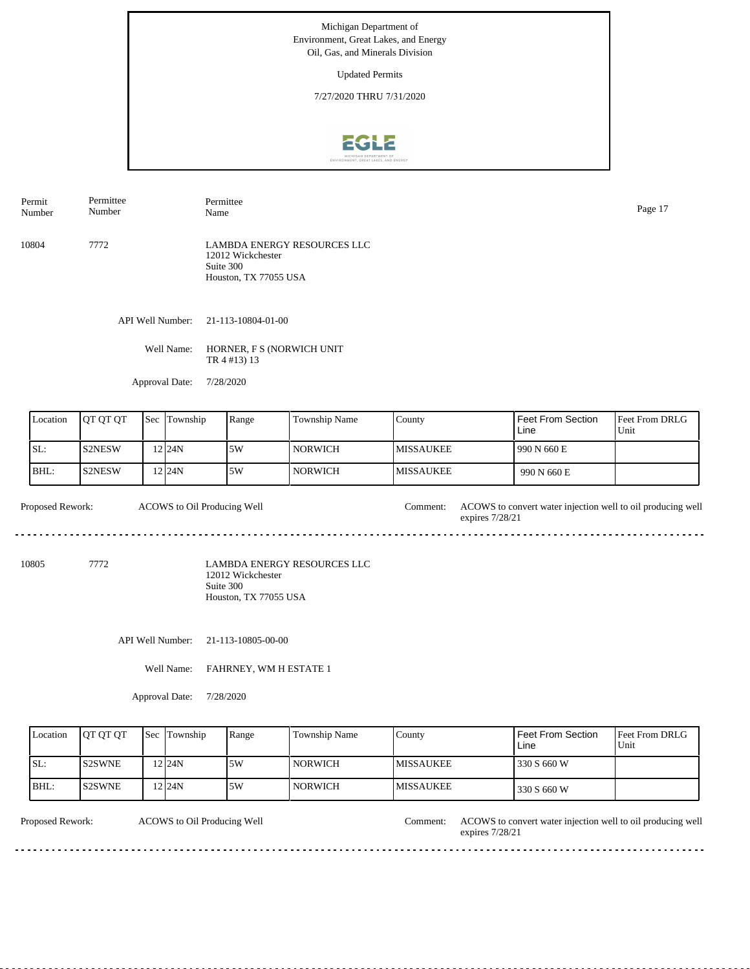Updated Permits

7/27/2020 THRU 7/31/2020



10804 7772 LAMBDA ENERGY RESOURCES LLC 12012 Wickchester Suite 300 Houston, TX 77055 USA Permit Number Permittee Number Permittee Name Page 17

API Well Number: 21-113-10804-01-00

Well Name: HORNER, F S (NORWICH UNIT TR 4 #13) 13

Approval Date: 7/28/2020

| Location | <b>IOT OT OT</b> | <b>Sec Township</b> | Range | <b>Township Name</b> | County            | Feet From Section<br>Line | l Feet From DRLG<br>Unit |
|----------|------------------|---------------------|-------|----------------------|-------------------|---------------------------|--------------------------|
| ISL:     | <b>S2NESW</b>    | $2$ 24N             | 5W    | l norwich            | <b>IMISSAUKEE</b> | 990 N 660 E               |                          |
| BHL:     | IS2NESW          | 12 I 24 N           | 5W    | NORWICH <b>N</b>     | <b>MISSAUKEE</b>  | 990 N 660 E               |                          |

Proposed Rework: ACOWS to convert water injection well to oil producing well ACOWS to Oil Producing Well expires 7/28/21  $- - - - - -$ 

10805 7772

LAMBDA ENERGY RESOURCES LLC 12012 Wickchester Suite 300 Houston, TX 77055 USA

API Well Number: 21-113-10805-00-00

Well Name: FAHRNEY, WM H ESTATE 1

Approval Date: 7/28/2020

| Location | <b>IOT OT OT</b> | <b>Sec Township</b> | Range | Township Name  | County            | <b>Feet From Section</b><br>Line | <b>Feet From DRLG</b><br>Unit |
|----------|------------------|---------------------|-------|----------------|-------------------|----------------------------------|-------------------------------|
| SL:      | <b>S2SWNE</b>    | 12 <sub>124N</sub>  | 5W    | <b>NORWICH</b> | <b>IMISSAUKEE</b> | 330 S 660 W                      |                               |
| BHL:     | <b>S2SWNE</b>    | 12 I 24 N           | 5W    | <b>NORWICH</b> | <b>IMISSAUKEE</b> | 330 S 660 W                      |                               |

ACOWS to Oil Producing Well

Proposed Rework: ACOWS to Oil Producing Well Comment: ACOWS to convert water injection well to oil producing well expires 7/28/21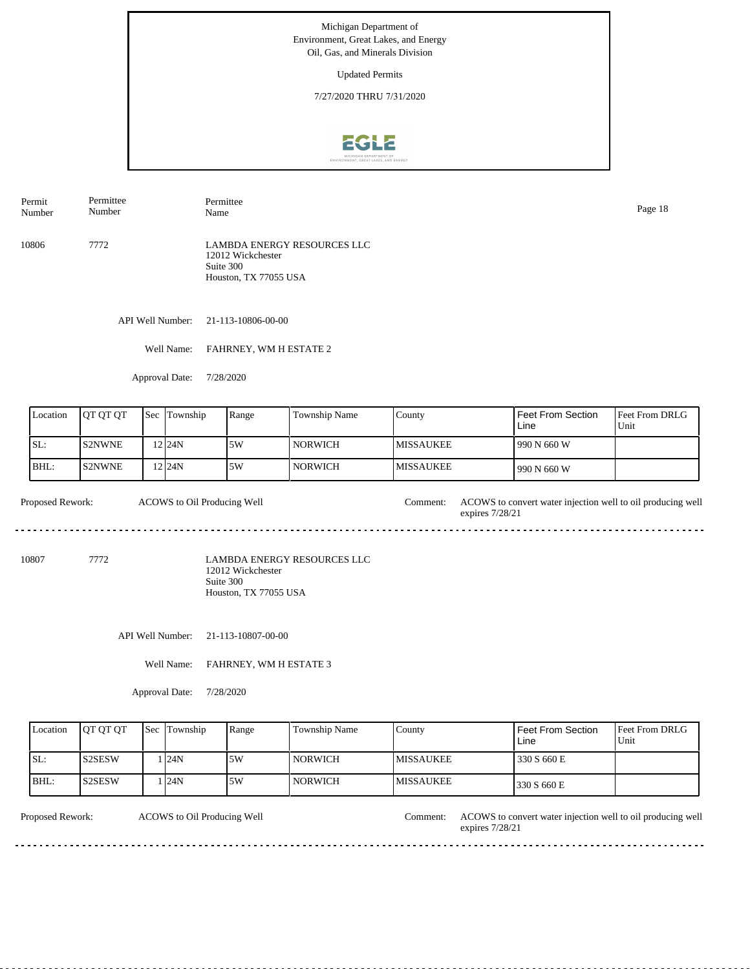Updated Permits

7/27/2020 THRU 7/31/2020



Permit Number Permittee Number Permittee

10806 7772 LAMBDA ENERGY RESOURCES LLC 12012 Wickchester Suite 300 Houston, TX 77055 USA

API Well Number: 21-113-10806-00-00

Well Name: FAHRNEY, WM H ESTATE 2

Approval Date: 7/28/2020

| Location | <b>IOT OT OT</b> | <b>Sec</b> | Township  | Range | Township Name | County            | l Feet From Section<br>Line | <b>Feet From DRLG</b><br>Unit |
|----------|------------------|------------|-----------|-------|---------------|-------------------|-----------------------------|-------------------------------|
| SL:      | <b>IS2NWNE</b>   |            | 12 I 24 N | 5W    | l NORWICH     | <b>IMISSAUKEE</b> | 1990 N 660 W                |                               |
| IBHL:    | <b>IS2NWNE</b>   |            | 12 I 24 N | 15W   | l NORWICH     | <b>IMISSAUKEE</b> | 1990 N 660 W                |                               |

Proposed Rework: ACOWS to convert water injection well to oil producing well ACOWS to Oil Producing Well expires 7/28/21 

10807 7772

LAMBDA ENERGY RESOURCES LLC 12012 Wickchester Suite 300 Houston, TX 77055 USA

API Well Number: 21-113-10807-00-00

Well Name: FAHRNEY, WM H ESTATE 3

Approval Date: 7/28/2020

| Location | <b>IOT OT OT</b> | <b>Sec Township</b> | Range | Township Name  | County            | <b>Feet From Section</b><br>Line | <b>Feet From DRLG</b><br>Unit |
|----------|------------------|---------------------|-------|----------------|-------------------|----------------------------------|-------------------------------|
| SL:      | <b>S2SESW</b>    | l I24N              | 15W   | <b>NORWICH</b> | <b>IMISSAUKEE</b> | 330 S 660 E                      |                               |
| BHL:     | l S2SESW         | l I24N              | 15W   | <b>NORWICH</b> | <b>IMISSAUKEE</b> | 330 S 660 E                      |                               |

ACOWS to Oil Producing Well

Proposed Rework: ACOWS to Oil Producing Well Comment: ACOWS to convert water injection well to oil producing well expires 7/28/21

<u>. . . . . . . . . . . . . . . .</u>

Name Page 18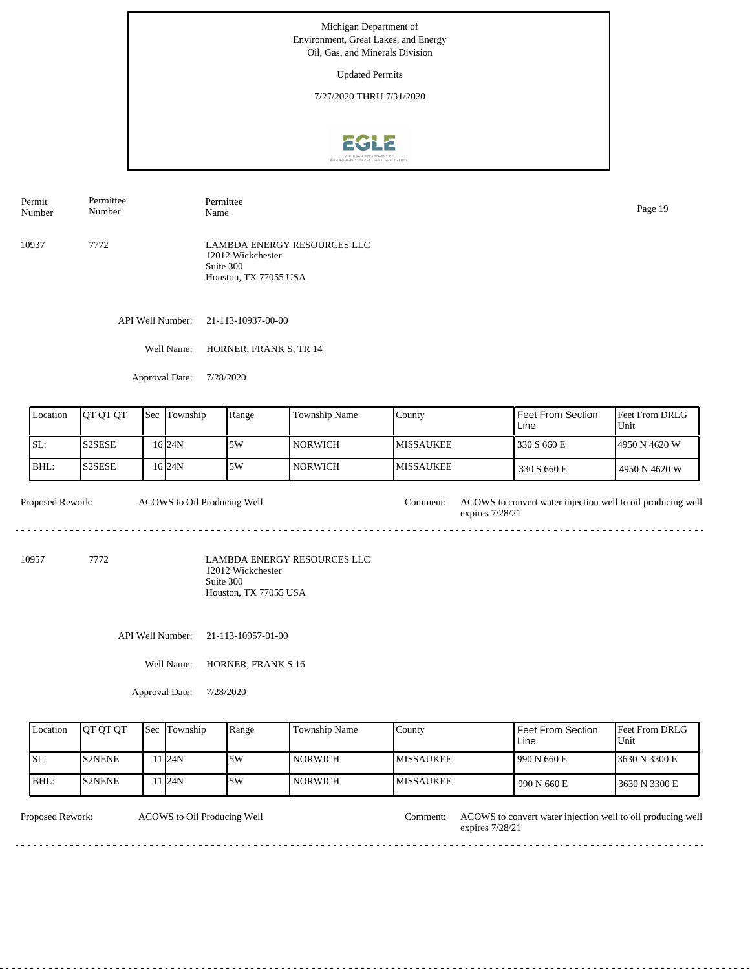Updated Permits

7/27/2020 THRU 7/31/2020



Permit Number Permittee Number Permittee Name Page 19

10937 7772 LAMBDA ENERGY RESOURCES LLC 12012 Wickchester Suite 300 Houston, TX 77055 USA

API Well Number: 21-113-10937-00-00

Well Name: HORNER, FRANK S, TR 14

Approval Date: 7/28/2020

| Location | <b>IOT OT OT</b>                | Sec | <b>Township</b> | Range | Township Name  | Countv            | Feet From Section<br>Line | <b>Feet From DRLG</b><br>Unit |
|----------|---------------------------------|-----|-----------------|-------|----------------|-------------------|---------------------------|-------------------------------|
| ISL:     | S <sub>2</sub> SE <sub>SE</sub> |     | 16 I 24 N       | 5W،   | <b>NORWICH</b> | <b>IMISSAUKEE</b> | 330 S 660 E               | 14950 N 4620 W                |
| BHL:     | S <sub>2</sub> SE <sub>SE</sub> |     | 16 I 24 N       | 5W،   | NORWICH        | <b>MISSAUKEE</b>  | 330 S 660 E               | 4950 N 4620 W                 |

Proposed Rework: ACOWS to convert water injection well to oil producing well ACOWS to Oil Producing Well expires 7/28/21 

10957 7772

LAMBDA ENERGY RESOURCES LLC 12012 Wickchester Suite 300 Houston, TX 77055 USA

API Well Number: 21-113-10957-01-00

Well Name: HORNER, FRANK S 16

Approval Date: 7/28/2020

| Location | <b>OT OT OT</b> | <b>Sec Township</b> | Range | Township Name  | County            | Feet From Section<br>Line | <b>Feet From DRLG</b><br>Unit |
|----------|-----------------|---------------------|-------|----------------|-------------------|---------------------------|-------------------------------|
| ISL:     | <b>IS2NENE</b>  | 1124N               | ا 5W  | <b>NORWICH</b> | <b>IMISSAUKEE</b> | 990 N 660 E               | 13630 N 3300 E                |
| BHL:     | <b>IS2NENE</b>  | 1 24N               | .5W   | <b>NORWICH</b> | <b>IMISSAUKEE</b> | 990 N 660 E               | 3630 N 3300 E                 |

ACOWS to Oil Producing Well

Proposed Rework: ACOWS to Oil Producing Well Comment: ACOWS to convert water injection well to oil producing well expires 7/28/21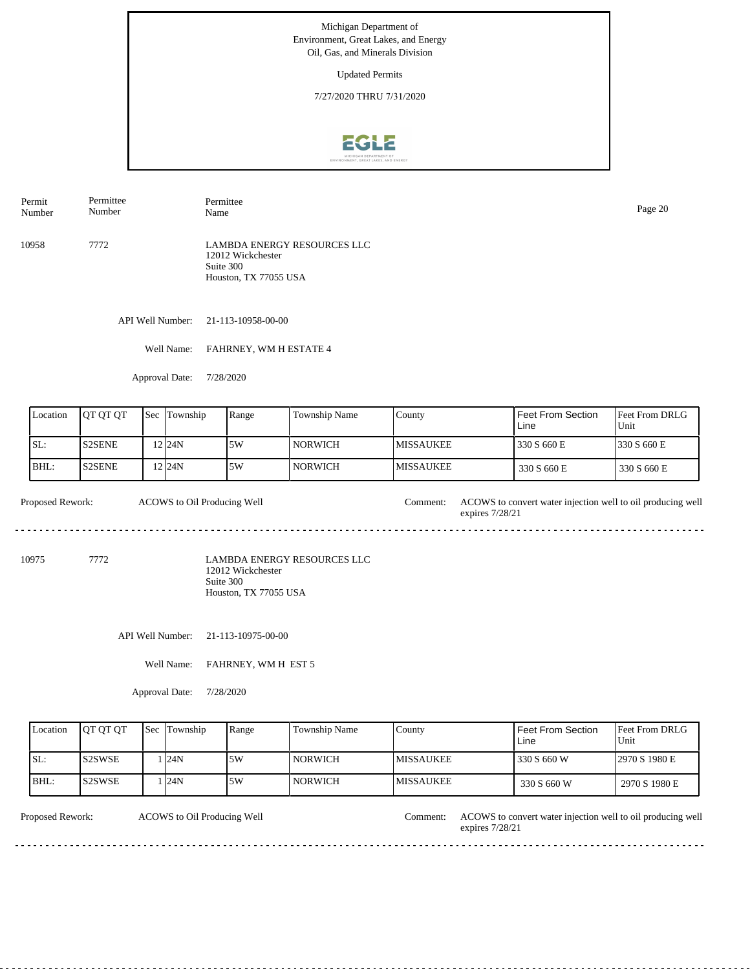Updated Permits

7/27/2020 THRU 7/31/2020



Permit Number Permittee Number Permittee

10958 7772 LAMBDA ENERGY RESOURCES LLC 12012 Wickchester Suite 300 Houston, TX 77055 USA

API Well Number: 21-113-10958-00-00

Well Name: FAHRNEY, WM H ESTATE 4

Approval Date: 7/28/2020

| Location | <b>OT OT OT</b> | Sec | Township | Range | Township Name  | Countv            | Feet From Section<br>Line | <b>IFeet From DRLG</b><br>Unit |
|----------|-----------------|-----|----------|-------|----------------|-------------------|---------------------------|--------------------------------|
| ISL:     | <b>S2SENE</b>   |     | 2 24N    | 5W    | <b>NORWICH</b> | <b>IMISSAUKEE</b> | 330 S 660 E               | 1330 S 660 E                   |
| BHL:     | <b>S2SENE</b>   |     | 2 24N    | ا 5W  | NORWICH        | <b>IMISSAUKEE</b> | 330 S 660 E               | 330 S 660 E                    |

Proposed Rework: ACOWS to convert water injection well to oil producing well ACOWS to Oil Producing Well expires 7/28/21 

10975 7772

LAMBDA ENERGY RESOURCES LLC 12012 Wickchester Suite 300 Houston, TX 77055 USA

API Well Number: 21-113-10975-00-00

Well Name: FAHRNEY, WM H EST 5

Approval Date: 7/28/2020

| Location | <b>IOT OT OT</b> | <b>Sec Township</b> | Range | Township Name | County            | <b>Feet From Section</b><br>Line | <b>Feet From DRLG</b><br>Unit |
|----------|------------------|---------------------|-------|---------------|-------------------|----------------------------------|-------------------------------|
| ISL:     | <b>IS2SWSE</b>   | 124N                | .5W   | NORWICH_      | <b>IMISSAUKEE</b> | 330 S 660 W                      | 12970 S 1980 E                |
| BHL:     | IS2SWSE          | 124N                | 5W    | NORWICH       | <b>IMISSAUKEE</b> | 330 S 660 W                      | 2970 S 1980 E                 |

ACOWS to Oil Producing Well

Proposed Rework: ACOWS to Oil Producing Well Comment: ACOWS to convert water injection well to oil producing well expires 7/28/21

<u>. . . . . . . . . . . . . . .</u>

Name Page 20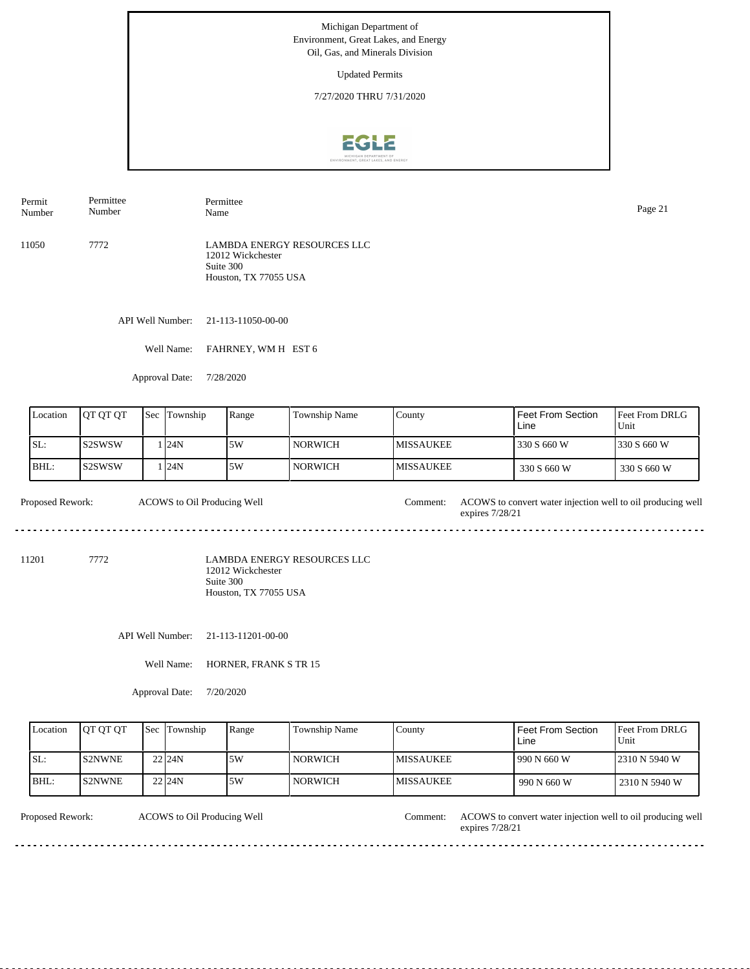Updated Permits

7/27/2020 THRU 7/31/2020



Permit Number Permittee Number Permittee Name Page 21

11050 7772 LAMBDA ENERGY RESOURCES LLC 12012 Wickchester Suite 300 Houston, TX 77055 USA

API Well Number: 21-113-11050-00-00

Well Name: FAHRNEY, WM H EST 6

Approval Date: 7/28/2020

| Location | <b>IOT OT OT</b> | Sec | Township | Range | <b>Township Name</b> | Countv            | Feet From Section<br>Line | <b>Feet From DRLG</b><br>Unit |
|----------|------------------|-----|----------|-------|----------------------|-------------------|---------------------------|-------------------------------|
| ISL:     | ls2SWSW          |     | . 124N   | ا 5W  | <b>NORWICH</b>       | <b>IMISSAUKEE</b> | 330 S 660 W               | 1330 S 660 W                  |
| BHL:     | lS2SWSW          |     | 124N     | .5W   | NORWICH              | <b>MISSAUKEE</b>  | 330 S 660 W               | 330 S 660 W                   |

Proposed Rework: ACOWS to convert water injection well to oil producing well ACOWS to Oil Producing Well expires 7/28/21 

11201 7772

LAMBDA ENERGY RESOURCES LLC 12012 Wickchester Suite 300 Houston, TX 77055 USA

API Well Number: 21-113-11201-00-00

Well Name: HORNER, FRANK S TR 15

Approval Date: 7/20/2020

| Location | <b>IOT OT OT</b> | <b>Sec</b> Township | Range | <b>Township Name</b> | County            | Feet From Section<br>Line | <b>Feet From DRLG</b><br>Unit |
|----------|------------------|---------------------|-------|----------------------|-------------------|---------------------------|-------------------------------|
| SL:      | IS2NWNE          | $22$ <sub>24N</sub> | .5W   | <b>NORWICH</b>       | <b>IMISSAUKEE</b> | 1990 N 660 W              | 12310 N 5940 W                |
| BHL:     | <b>S2NWNE</b>    | 22 <sub>124</sub> N | 5W    | <b>NORWICH</b>       | <b>IMISSAUKEE</b> | 990 N 660 W               | 2310 N 5940 W                 |

ACOWS to Oil Producing Well

Proposed Rework: ACOWS to Oil Producing Well Comment: ACOWS to convert water injection well to oil producing well expires 7/28/21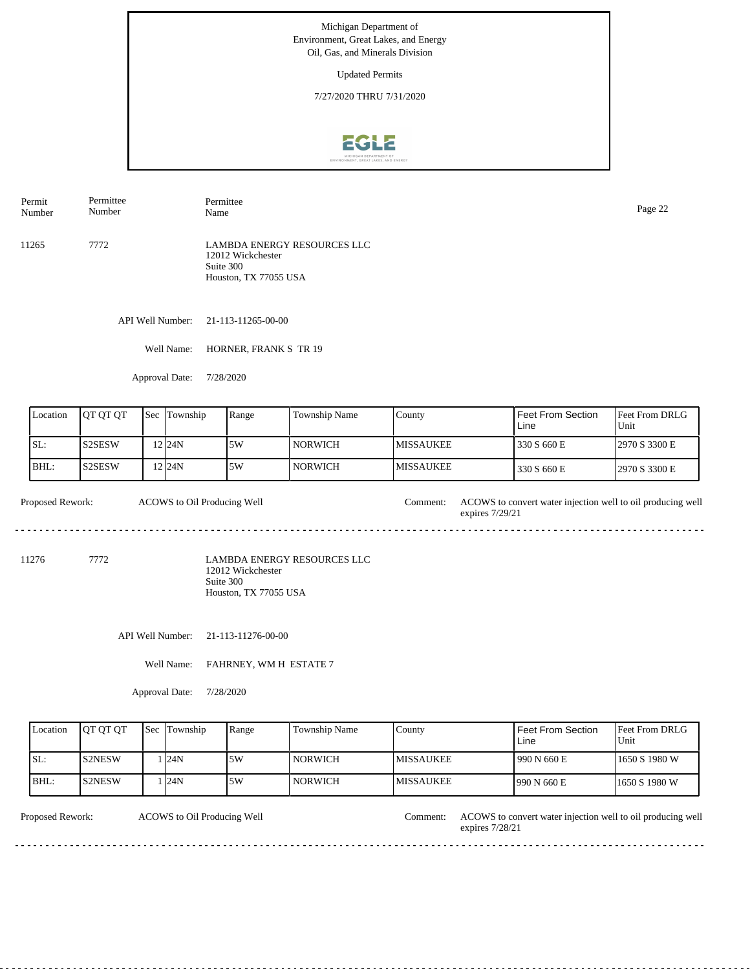Updated Permits

7/27/2020 THRU 7/31/2020



Permit Number Permittee Number Permittee Page 22<br>Name Page 22

11265 7772 LAMBDA ENERGY RESOURCES LLC 12012 Wickchester Suite 300 Houston, TX 77055 USA

API Well Number: 21-113-11265-00-00

Well Name: HORNER, FRANK S TR 19

Approval Date: 7/28/2020

| Location | <b>IOT OT OT</b> | Sec | Township  | Range | <b>Township Name</b> | Countv            | Feet From Section<br>Line | <b>IFeet From DRLG</b><br>Unit |
|----------|------------------|-----|-----------|-------|----------------------|-------------------|---------------------------|--------------------------------|
| SL:      | <b>S2SESW</b>    |     | 2 24N     | 5W    | NORWICH              | <b>IMISSAUKEE</b> | 330 S 660 E               | 12970 S 3300 E                 |
| BHL:     | <b>S2SESW</b>    |     | 12 I 24 N | 5W،   | NORWICH              | <b>IMISSAUKEE</b> | 330 S 660 E               | 12970 S 3300 E                 |

Proposed Rework: ACOWS to convert water injection well to oil producing well ACOWS to Oil Producing Well expires 7/29/21 

11276 7772

LAMBDA ENERGY RESOURCES LLC 12012 Wickchester Suite 300 Houston, TX 77055 USA

API Well Number: 21-113-11276-00-00

Well Name: FAHRNEY, WM H ESTATE 7

Approval Date: 7/28/2020

| Location | <b>IOT OT OT</b> | <b>Sec</b> Township | Range | Township Name  | County            | Feet From Section<br>Line | <b>Feet From DRLG</b><br>Unit |
|----------|------------------|---------------------|-------|----------------|-------------------|---------------------------|-------------------------------|
| ISL:     | <b>IS2NESW</b>   | 124N                | .5W   | <b>NORWICH</b> | <b>IMISSAUKEE</b> | 990 N 660 E               | 11650 S 1980 W                |
| BHL:     | IS2NESW          | 124N                | .5W   | <b>NORWICH</b> | <b>IMISSAUKEE</b> | 1990 N 660 E              | 11650 S 1980 W                |

ACOWS to Oil Producing Well

Proposed Rework: ACOWS to Oil Producing Well Comment: ACOWS to convert water injection well to oil producing well expires 7/28/21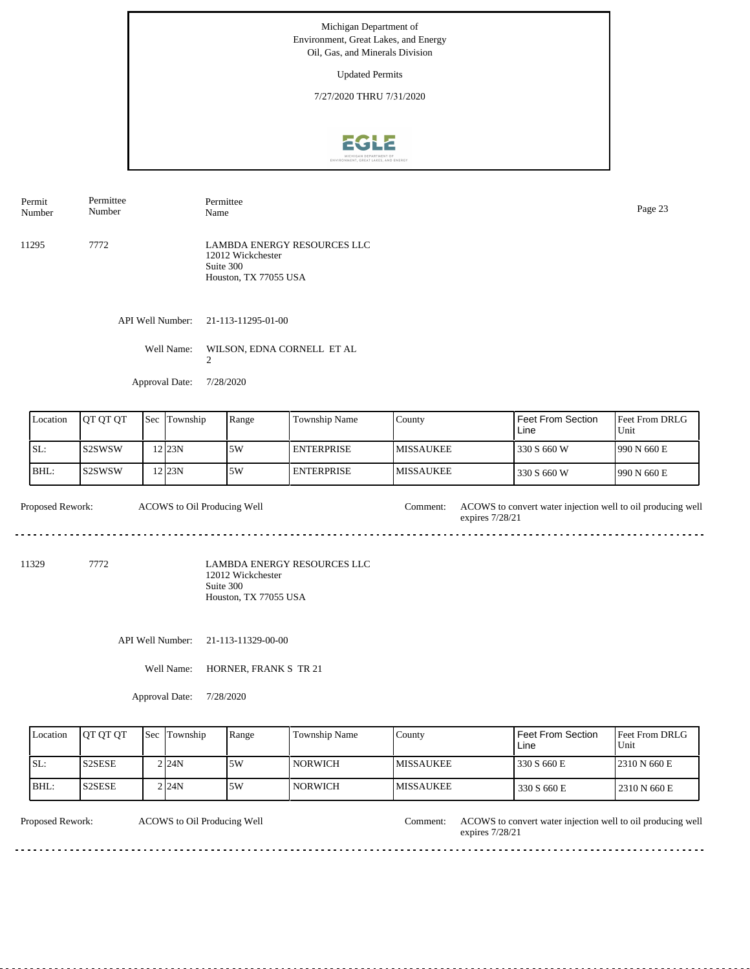Updated Permits

7/27/2020 THRU 7/31/2020



API Well Number: 21-113-11295-01-00 11295 7772 LAMBDA ENERGY RESOURCES LLC 12012 Wickchester Suite 300 Houston, TX 77055 USA Permit Number Permittee Number Permittee Page 23<br>Name Page 23

Well Name: WILSON, EDNA CORNELL ET AL

Approval Date: 7/28/2020

 $\mathfrak{D}$ 

| Location | <b>JOT OT OT</b> | Sec | Township | Range | Township Name     | County            | <b>Feet From Section</b><br>Line | <b>Feet From DRLG</b><br>Unit |
|----------|------------------|-----|----------|-------|-------------------|-------------------|----------------------------------|-------------------------------|
| SL:      | IS2SWSW          |     | 12 23 N  | :5W   | <b>ENTERPRISE</b> | <b>IMISSAUKEE</b> | 330 S 660 W                      | 1990 N 660 E                  |
| BHL:     | IS2SWSW          |     | 12 23 N  | .5W   | <b>ENTERPRISE</b> | <b>IMISSAUKEE</b> | 330 S 660 W                      | 1990 N 660 E                  |

Proposed Rework: ACOWS to convert water injection well to oil producing well expires 7/28/21 ACOWS to Oil Producing Well

11329 7772

LAMBDA ENERGY RESOURCES LLC 12012 Wickchester Suite 300 Houston, TX 77055 USA

API Well Number: 21-113-11329-00-00

Well Name: HORNER, FRANK S TR 21

Approval Date: 7/28/2020

| Location | <b>IOT OT OT</b> | <b>Sec</b> Township | Range | <b>Township Name</b> | County           | Feet From Section<br>∟ine | <b>Feet From DRLG</b><br>Unit |
|----------|------------------|---------------------|-------|----------------------|------------------|---------------------------|-------------------------------|
| SL:      | <b>S2SESE</b>    | 2 I24N              | 5W    | l NORWICH            | IMISSAUKEE       | 330 S 660 E               | 2310 N 660 E                  |
| BHL:     | <b>S2SESE</b>    | 2 I 24 N            | 5W    | <b>NORWICH</b>       | <b>MISSAUKEE</b> | 330 S 660 E               | 2310 N 660 E                  |

ACOWS to Oil Producing Well

Proposed Rework: ACOWS to Oil Producing Well Comment: ACOWS to convert water injection well to oil producing well expires 7/28/21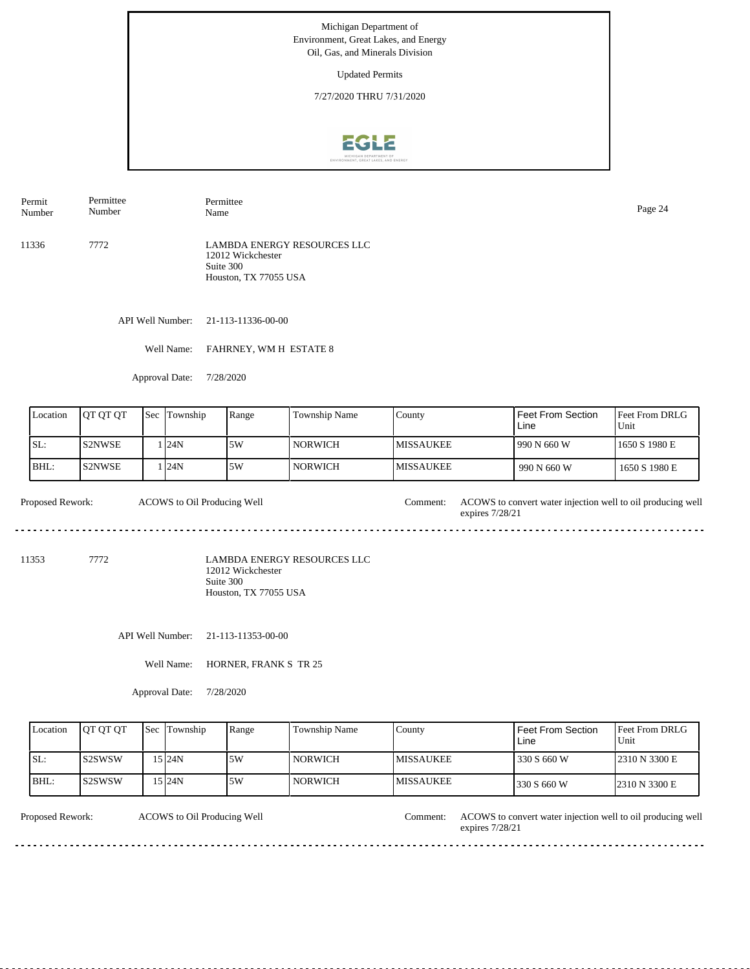Updated Permits

7/27/2020 THRU 7/31/2020



Permit Number Permittee Number Permittee Name Page 24

11336 7772 LAMBDA ENERGY RESOURCES LLC 12012 Wickchester Suite 300 Houston, TX 77055 USA

API Well Number: 21-113-11336-00-00

Well Name: FAHRNEY, WM H ESTATE 8

Approval Date: 7/28/2020

| Location | <b>IOT OT OT</b> | <b>Sec</b> | Township | Range | Township Name | County            | l Feet From Section<br>Line | <b>I</b> Feet From DRLG<br>Unit |
|----------|------------------|------------|----------|-------|---------------|-------------------|-----------------------------|---------------------------------|
| SL:      | IS2NWSE          |            | . 24N    | 5W    | l NORWICH     | <b>IMISSAUKEE</b> | 1990 N 660 W                | 1650 S 1980 E                   |
| IBHL:    | IS2NWSE          |            | . 24N    | 5W    | l NORWICH     | <b>IMISSAUKEE</b> | $990 N$ 660 W               | 1650 S 1980 E                   |

Proposed Rework: ACOWS to convert water injection well to oil producing well ACOWS to Oil Producing Well expires 7/28/21 

11353 7772

LAMBDA ENERGY RESOURCES LLC 12012 Wickchester Suite 300 Houston, TX 77055 USA

API Well Number: 21-113-11353-00-00

Well Name: HORNER, FRANK S TR 25

Approval Date: 7/28/2020

| Location | <b>IOT OT OT</b> | <b>Sec</b> Township | Range | <b>Township Name</b> | County            | Feet From Section<br>Line | <b>IFeet From DRLG</b><br>Unit |
|----------|------------------|---------------------|-------|----------------------|-------------------|---------------------------|--------------------------------|
| ISL:     | IS2SWSW          | 15 I24N             | 5W    | <b>NORWICH</b>       | <b>IMISSAUKEE</b> | 330 S 660 W               | 12310 N 3300 E                 |
| BHL:     | IS2SWSW          | 15 I 24 N           | .5W   | <b>NORWICH</b>       | <b>IMISSAUKEE</b> | 330 S 660 W               | 2310 N 3300 E                  |

ACOWS to Oil Producing Well

Proposed Rework: ACOWS to Oil Producing Well Comment: ACOWS to convert water injection well to oil producing well expires 7/28/21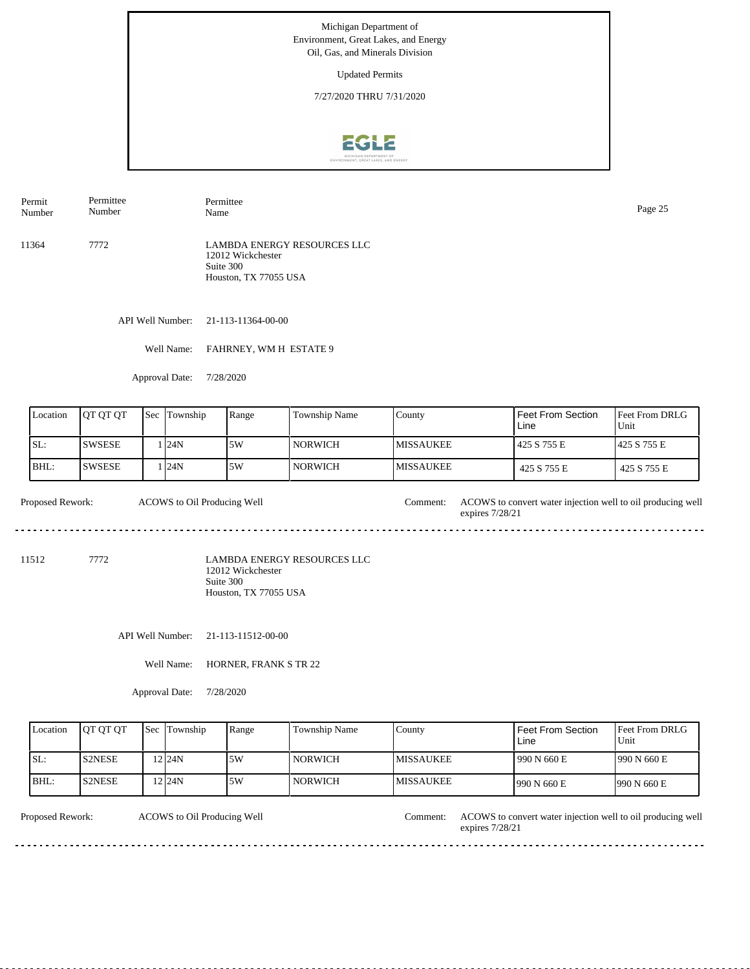Updated Permits

7/27/2020 THRU 7/31/2020



Permit Number Permittee Number Permittee Name Page 25

11364 7772 LAMBDA ENERGY RESOURCES LLC 12012 Wickchester Suite 300 Houston, TX 77055 USA

API Well Number: 21-113-11364-00-00

Well Name: FAHRNEY, WM H ESTATE 9

Approval Date: 7/28/2020

| Location | <b>IOT OT OT</b> | Sec | Township | Range | <b>Township Name</b> | Countv            | Feet From Section<br>Line | <b>Feet From DRLG</b><br>Unit |
|----------|------------------|-----|----------|-------|----------------------|-------------------|---------------------------|-------------------------------|
| ISL:     | <b>SWSESE</b>    |     | 124N     | 5W    | <b>NORWICH</b>       | <b>IMISSAUKEE</b> | 1425 S 755 E              | 1425 S 755 E                  |
| BHL:     | <b>SWSESE</b>    |     | 124N     | ا 5W  | NORWICH              | <b>MISSAUKEE</b>  | 425 S 755 E               | 425 S 755 E                   |

Proposed Rework: ACOWS to convert water injection well to oil producing well ACOWS to Oil Producing Well expires 7/28/21 

11512 7772

LAMBDA ENERGY RESOURCES LLC 12012 Wickchester Suite 300 Houston, TX 77055 USA

API Well Number: 21-113-11512-00-00

Well Name: HORNER, FRANK S TR 22

Approval Date: 7/28/2020

| Location | <b>IOT OT OT</b> | <b>Sec Township</b> | Range | Township Name  | County            | Feet From Section<br>Line | <b>Feet From DRLG</b><br>Unit |
|----------|------------------|---------------------|-------|----------------|-------------------|---------------------------|-------------------------------|
| ISL:     | <b>IS2NESE</b>   | $2$  24N            | .5W   | <b>NORWICH</b> | <b>IMISSAUKEE</b> | 990 N 660 E               | 1990 N 660 E                  |
| BHL:     | <b>IS2NESE</b>   | 12 I 24 N           | .5W   | <b>NORWICH</b> | <b>IMISSAUKEE</b> | 1990 N 660 E              | 1990 N 660 E                  |

ACOWS to Oil Producing Well

Proposed Rework: ACOWS to Oil Producing Well Comment: ACOWS to convert water injection well to oil producing well expires 7/28/21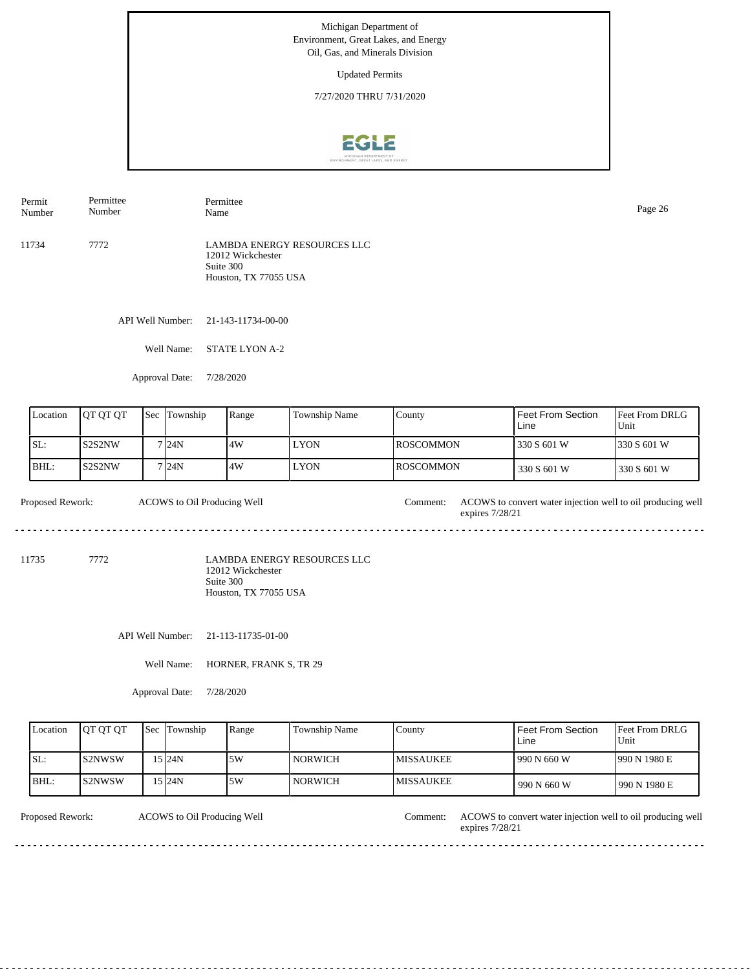Updated Permits

7/27/2020 THRU 7/31/2020



11734 7772 LAMBDA ENERGY RESOURCES LLC 12012 Wickchester Suite 300 Houston, TX 77055 USA Permit Number Permittee Number Permittee Name Page 26

API Well Number: 21-143-11734-00-00

Well Name: STATE LYON A-2

Approval Date: 7/28/2020

| Location | <b>JOT OT OT</b> | <b>Sec</b> | Township | Range | Township Name | County            | Feet From Section<br>Line | <b>Feet From DRLG</b><br>Unit |
|----------|------------------|------------|----------|-------|---------------|-------------------|---------------------------|-------------------------------|
| ISL:     | ls2S2NW          |            | 7 24N    | 4W    | <b>LYON</b>   | <b>IROSCOMMON</b> | 330 S 601 W               | 1330 S 601 W                  |
| BHL:     | lS2S2NW          |            | 7 24N    | ا 4W  | <b>LYON</b>   | <b>IROSCOMMON</b> | 330 S 601 W               | 330 S 601 W                   |

Proposed Rework: ACOWS to convert water injection well to oil producing well ACOWS to Oil Producing Well expires 7/28/21 

11735 7772

LAMBDA ENERGY RESOURCES LLC 12012 Wickchester Suite 300 Houston, TX 77055 USA

API Well Number: 21-113-11735-01-00

Well Name: HORNER, FRANK S, TR 29

Approval Date: 7/28/2020

| Location | <b>IOT OT OT</b> | <b>Sec</b> Township | Range | <b>Township Name</b> | County            | Feet From Section<br>Line | <b>Feet From DRLG</b><br>Unit |
|----------|------------------|---------------------|-------|----------------------|-------------------|---------------------------|-------------------------------|
| SL:      | IS2NWSW          | 15 I24N             | .5W   | <b>NORWICH</b>       | <b>IMISSAUKEE</b> | 1990 N 660 W              | 990 N 1980 E                  |
| BHL:     | IS2NWSW          | 15 I 24 N           | 5W    | <b>NORWICH</b>       | <b>IMISSAUKEE</b> | 990 N 660 W               | 990 N 1980 E                  |

ACOWS to Oil Producing Well

Proposed Rework: ACOWS to Oil Producing Well Comment: ACOWS to convert water injection well to oil producing well expires 7/28/21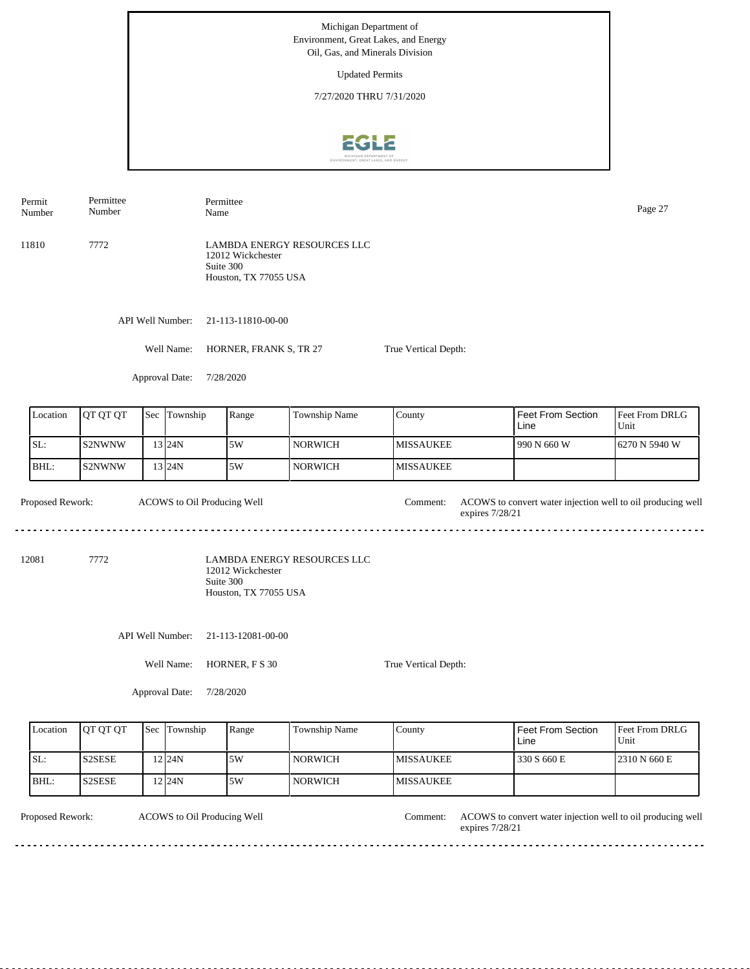Updated Permits

7/27/2020 THRU 7/31/2020



Permit Number Permittee Number

Permittee Name Page 27

11810 7772 LAMBDA ENERGY RESOURCES LLC 12012 Wickchester Suite 300 Houston, TX 77055 USA

API Well Number: 21-113-11810-00-00

Well Name: HORNER, FRANK S, TR 27

True Vertical Depth:

Approval Date: 7/28/2020

| Location | <b>OT OT OT</b> | <b>Sec</b> Township | Range | Township Name | County            | l Feet From Section<br>Line | <b>Feet From DRLG</b><br>Unit |
|----------|-----------------|---------------------|-------|---------------|-------------------|-----------------------------|-------------------------------|
| SL:      | IS2NWNW         | 13 I24N             | 5W    | NORWICH       | <b>IMISSAUKEE</b> | 1990 N 660 W                | 16270 N 5940 W                |
| IBHL:    | IS2NWNW         | 13 I24N             | 5W    | NORWICH       | <b>IMISSAUKEE</b> |                             |                               |

Proposed Rework: ACOWS to convert water injection well to oil producing well ACOWS to Oil Producing Well Comment: expires 7/28/21 

12081 7772

LAMBDA ENERGY RESOURCES LLC 12012 Wickchester Suite 300 Houston, TX 77055 USA

API Well Number: 21-113-12081-00-00

Well Name: HORNER, F S 30

True Vertical Depth:

Approval Date: 7/28/2020

| Location | <b>OT OT OT</b> | <b>Sec</b> Township | Range | <b>Township Name</b> | County            | l Feet From Section<br>Line | <b>IFeet From DRLG</b><br>Unit |
|----------|-----------------|---------------------|-------|----------------------|-------------------|-----------------------------|--------------------------------|
| ISL:     | <b>S2SESE</b>   | $2$ 24N             | 15W   | <b>NORWICH</b>       | <b>IMISSAUKEE</b> | 330 S 660 E                 | 2310 N 660 E                   |
| BHL:     | IS2SESE         | '2124N              | 5W    | <b>NORWICH</b>       | <b>IMISSAUKEE</b> |                             |                                |

Proposed Rework: ACOWS to Oil Producing Well Comment: ACOWS to convert water injection well to oil producing well ACOWS to Oil Producing Well Comment: expires 7/28/21 <u>. . . . . . . . . . . . . . . .</u>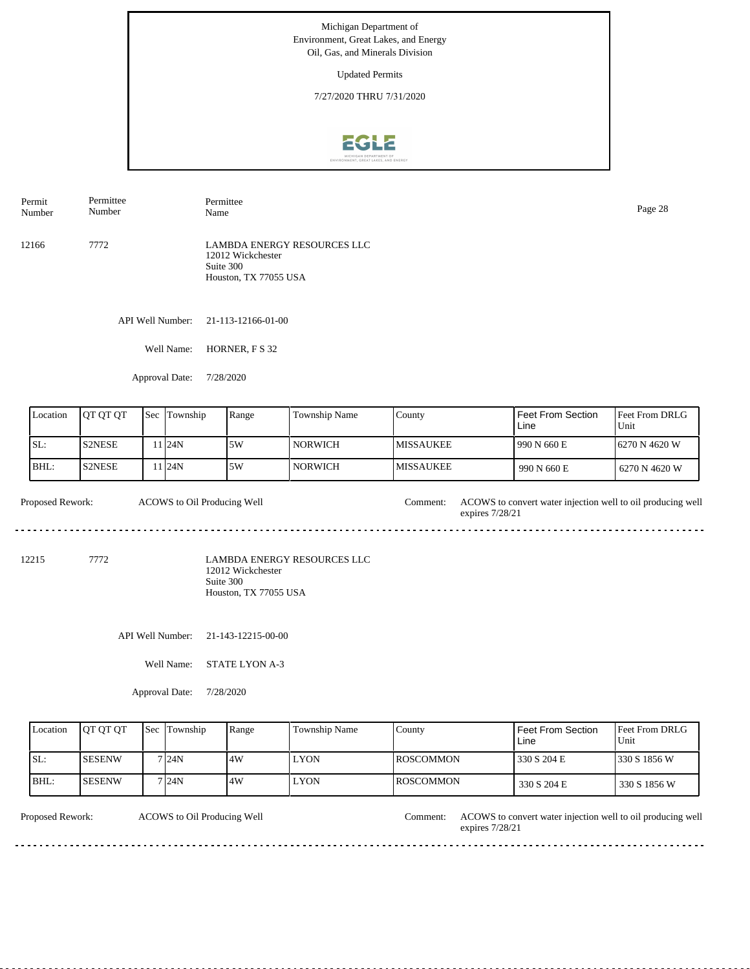Updated Permits

7/27/2020 THRU 7/31/2020



API Well Number: 21-113-12166-01-00 12166 7772 LAMBDA ENERGY RESOURCES LLC 12012 Wickchester Suite 300 Houston, TX 77055 USA Permit Number Permittee Number Permittee Name Page 28

Well Name: HORNER, F S 32

Approval Date: 7/28/2020

| Location | <b>OT OT OT</b> | <b>Sec</b> | Township | Range | Township Name  | County            | Feet From Section<br>Line | <b>Feet From DRLG</b><br>Unit |
|----------|-----------------|------------|----------|-------|----------------|-------------------|---------------------------|-------------------------------|
| ISL:     | <b>S2NESE</b>   |            | 1 I24N   | 5W    | <b>NORWICH</b> | <b>IMISSAUKEE</b> | 1990 N 660 E              | 6270 N 4620 W                 |
| BHL:     | <b>S2NESE</b>   |            | 1124N    | 5W    | <b>NORWICH</b> | <b>IMISSAUKEE</b> | 990 N 660 E               | 1 6270 N 4620 W               |

Proposed Rework: ACOWS to convert water injection well to oil producing well ACOWS to Oil Producing Well expires 7/28/21 

12215 7772

LAMBDA ENERGY RESOURCES LLC 12012 Wickchester Suite 300 Houston, TX 77055 USA

API Well Number: 21-143-12215-00-00

Well Name: STATE LYON A-3

Approval Date: 7/28/2020

| Location | <b>IOT OT OT</b> | <b>Sec Township</b> | Range | Township Name | County            | Feet From Section<br>Line | <b>IFeet From DRLG</b><br>Unit |
|----------|------------------|---------------------|-------|---------------|-------------------|---------------------------|--------------------------------|
| SL:      | ISESENW          | 7 24N               | 4W    | <b>LYON</b>   | <b>IROSCOMMON</b> | 330 S 204 E               | 1330 S 1856 W                  |
| BHL:     | ISESENW          | 7 24N               | .4W   | <b>LYON</b>   | <b>IROSCOMMON</b> | 330 S 204 E               | 330 S 1856 W                   |

ACOWS to Oil Producing Well

Proposed Rework: ACOWS to Oil Producing Well Comment: ACOWS to convert water injection well to oil producing well expires 7/28/21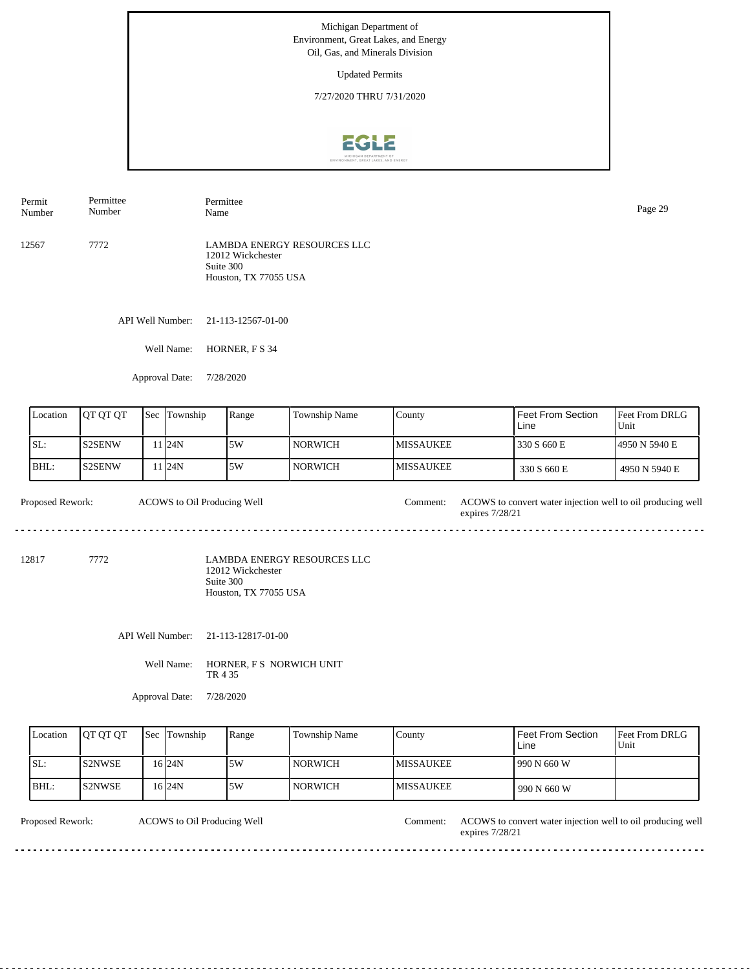Updated Permits

7/27/2020 THRU 7/31/2020



API Well Number: 21-113-12567-01-00 12567 7772 LAMBDA ENERGY RESOURCES LLC 12012 Wickchester Suite 300 Houston, TX 77055 USA Permit Number Permittee Number Permittee Name Page 29

Well Name: HORNER, F S 34

Approval Date: 7/28/2020

| Location | IOT OT OT     | 'Sec | Township | Range | Township Name  | County            | Feet From Section<br>Line | <b>Feet From DRLG</b><br>Unit |
|----------|---------------|------|----------|-------|----------------|-------------------|---------------------------|-------------------------------|
| ISL:     | <b>S2SENW</b> |      | 1 24N    | 5W    | NORWICH-       | <b>IMISSAUKEE</b> | 330 S 660 E               | 14950 N 5940 E                |
| BHL:     | <b>S2SENW</b> |      | 1 24N    | 5W    | <b>NORWICH</b> | <b>IMISSAUKEE</b> | 330 S 660 E               | 4950 N 5940 E                 |

Proposed Rework: ACOWS to convert water injection well to oil producing well ACOWS to Oil Producing Well expires 7/28/21 

12817 7772

LAMBDA ENERGY RESOURCES LLC 12012 Wickchester Suite 300 Houston, TX 77055 USA

API Well Number: 21-113-12817-01-00

Well Name: HORNER, F S NORWICH UNIT TR 4 35

Approval Date: 7/28/2020

| Location | <b>IOT OT OT</b> | <b>Sec Township</b> | Range | Township Name  | County            | Feet From Section<br>Line | <b>IFeet From DRLG</b><br>Unit |
|----------|------------------|---------------------|-------|----------------|-------------------|---------------------------|--------------------------------|
| ISL:     | <b>IS2NWSE</b>   | 16 <sub>24N</sub>   | .5W   | <b>NORWICH</b> | <b>IMISSAUKEE</b> | 990 N 660 W               |                                |
| BHL:     | IS2NWSE          | 16 24 N             | .5W   | <b>NORWICH</b> | <b>IMISSAUKEE</b> | 990 N 660 W               |                                |

ACOWS to Oil Producing Well

Proposed Rework: ACOWS to Oil Producing Well Comment: ACOWS to convert water injection well to oil producing well expires 7/28/21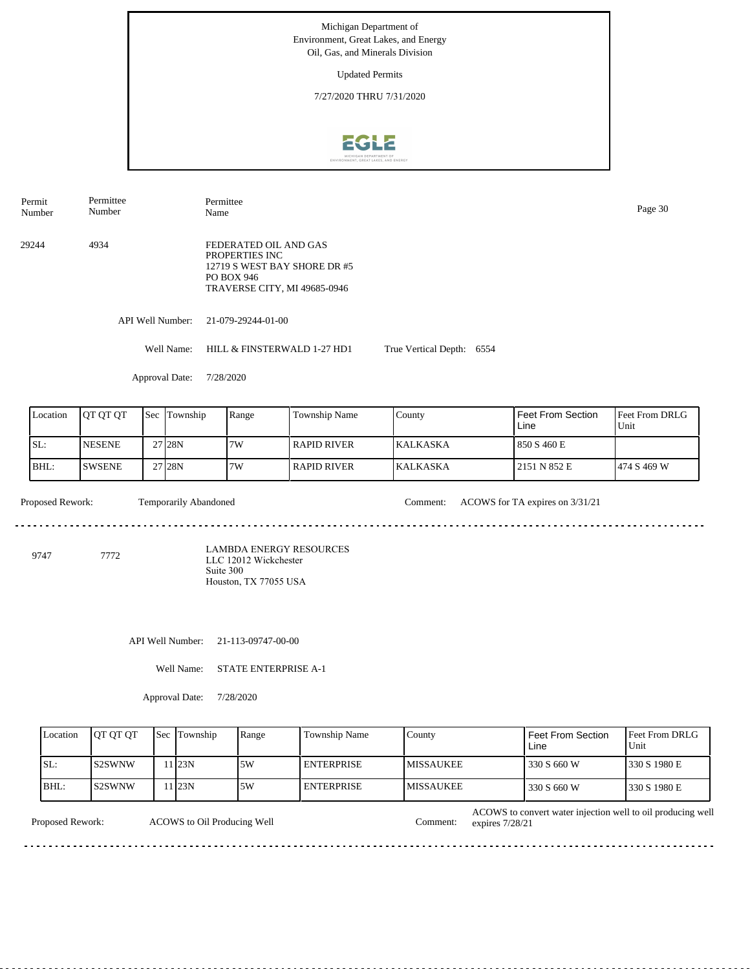Updated Permits

7/27/2020 THRU 7/31/2020



Permittee Permit Permittee Name Page 30 Number Number 29244 4934 FEDERATED OIL AND GAS PROPERTIES INC 12719 S WEST BAY SHORE DR #5 PO BOX 946 TRAVERSE CITY, MI 49685-0946 API Well Number: 21-079-29244-01-00 Well Name: HILL & FINSTERWALD 1-27 HD1 True Vertical Depth: 6554 Approval Date: 7/28/2020 Location | QT QT QT | Sec | Township | Range | Township Name Sec Township County Feet From Section Feet From DRLG Line Unit SL: NESENE 7W RAPID RIVER KALKASKA 850 S 460 E 27 28N BHL: SWSENE 28N 7W RAPID RIVER KALKASKA 2151 N 852 E 474 S 469 W 27 Proposed Rework: Comment: ACOWS for TA expires on 3/31/21 Temporarily Abandoned <u>. . . . . . .</u> . . . . . . . . . . . . . . . LAMBDA ENERGY RESOURCES 9747 7772 LLC 12012 Wickchester Suite 300 Houston, TX 77055 USAAPI Well Number: 21-113-09747-00-00 Well Name: STATE ENTERPRISE A-1 Approval Date: 7/28/2020 Location | QT QT QT | Sec | Township | Range | Township Name Township Feet From Section Feet From DRLG County

Unit 330 S 660 W 330 S 1980 E Line MISSAUKEE MISSAUKEE SL: BHL: S2SWNW S2SWNW 11 23N 11 23N 5W 5W ENTERPRISE ENTERPRISE MISSAUKEE 330 S 660 W 330 S 1980 E

Proposed Rework:

ACOWS to Oil Producing Well Comment:

ACOWS to convert water injection well to oil producing well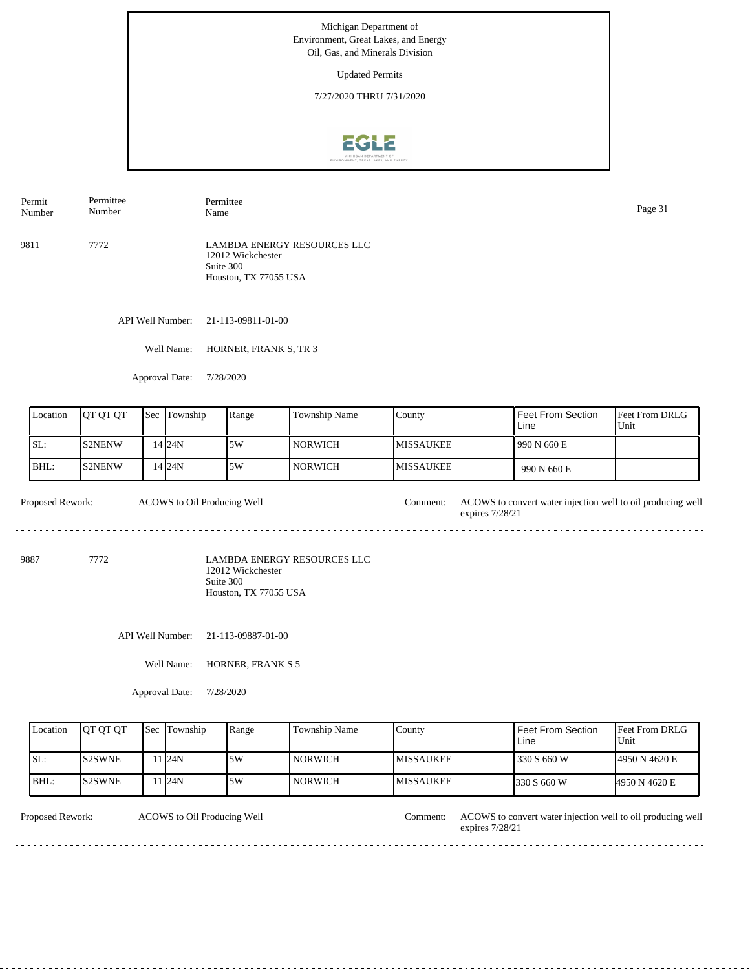Updated Permits

7/27/2020 THRU 7/31/2020



9811 7772 LAMBDA ENERGY RESOURCES LLC Permit Number Permittee Number Permittee Name Page 31

12012 Wickchester Suite 300 Houston, TX 77055 USA

API Well Number: 21-113-09811-01-00

Well Name: HORNER, FRANK S, TR 3

Approval Date: 7/28/2020

| Location | <b>IOT OT OT</b> | <b>Sec</b> | Township | Range | Township Name  | County            | <sup>I</sup> Feet From Section<br>Line | <b>Feet From DRLG</b><br>Unit |
|----------|------------------|------------|----------|-------|----------------|-------------------|----------------------------------------|-------------------------------|
| ISL:     | <b>S2NENW</b>    |            | 14 24 N  | 5W    | l NORWICH      | <b>IMISSAUKEE</b> | 990 N 660 E                            |                               |
| BHL:     | <b>S2NENW</b>    |            | 14 24 N  | 5W    | <b>NORWICH</b> | <b>IMISSAUKEE</b> | 990 N 660 E                            |                               |

Proposed Rework: ACOWS to convert water injection well to oil producing well ACOWS to Oil Producing Well expires 7/28/21 <u>. . . . . . . . . . .</u> 

9887 7772

LAMBDA ENERGY RESOURCES LLC 12012 Wickchester Suite 300 Houston, TX 77055 USA

API Well Number: 21-113-09887-01-00

Well Name: HORNER, FRANK S 5

Approval Date: 7/28/2020

| Location | <b>OT OT OT</b> | <b>Sec</b> Township | Range | Township Name  | County            | Feet From Section<br>Line | <b>IFeet From DRLG</b><br>Unit |
|----------|-----------------|---------------------|-------|----------------|-------------------|---------------------------|--------------------------------|
| ISL:     | IS2SWNE         | 1124N               | 5W    | <b>NORWICH</b> | <b>IMISSAUKEE</b> | 330 S 660 W               | 14950 N 4620 E                 |
| BHL:     | IS2SWNE         | 1 <sub>24N</sub>    | 5W    | <b>NORWICH</b> | <b>IMISSAUKEE</b> | 1330 S 660 W              | 4950 N 4620 E                  |

ACOWS to Oil Producing Well

Proposed Rework: ACOWS to Oil Producing Well Comment: ACOWS to convert water injection well to oil producing well expires 7/28/21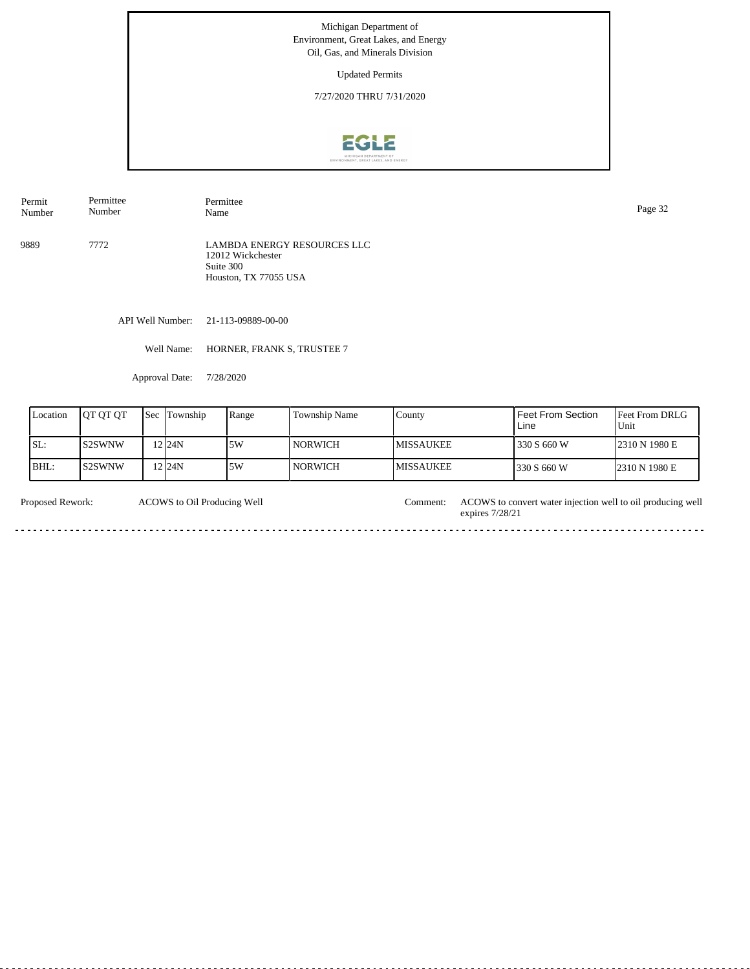Updated Permits

7/27/2020 THRU 7/31/2020



Permit Number Permittee Number

Permittee<br>Name

9889 7772 LAMBDA ENERGY RESOURCES LLC 12012 Wickchester Suite 300 Houston, TX 77055 USA

API Well Number: 21-113-09889-00-00

Well Name: HORNER, FRANK S, TRUSTEE 7

Approval Date: 7/28/2020

| Location | <b>IOT OT OT</b> | Sec | Township | Range | <b>Township Name</b> | County            | Feet From Section<br>Line | <b>IFeet From DRLG</b><br>Unit |
|----------|------------------|-----|----------|-------|----------------------|-------------------|---------------------------|--------------------------------|
| SL:      | <b>IS2SWNW</b>   |     | $2$ 24N  | 5W    | NORWICH-             | <b>IMISSAUKEE</b> | 330 S 660 W               | 2310 N 1980 E                  |
| BHL:     | IS2SWNW          |     | 224N     | 5W    | <b>NORWICH</b>       | <b>MISSAUKEE</b>  | 330 S 660 W               | 2310 N 1980 E                  |

| Proposed Rework: | COWS to Oil Producing Well | . :omment: | ACOWS to convert water injection well to oil producing well<br>7/28/2<br>expires |
|------------------|----------------------------|------------|----------------------------------------------------------------------------------|
|                  |                            |            |                                                                                  |

Page 32<br>Name Page 32